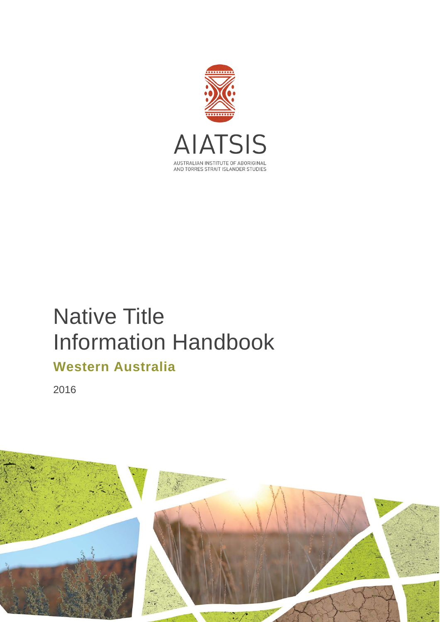

# Native Title Information Handbook **Western Australia**

2016

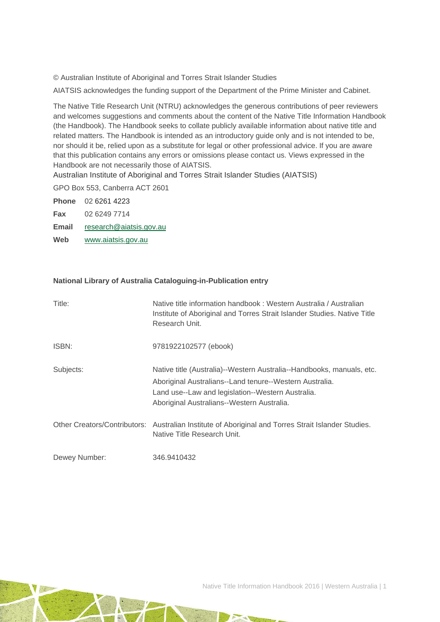© Australian Institute of Aboriginal and Torres Strait Islander Studies

AIATSIS acknowledges the funding support of the Department of the Prime Minister and Cabinet.

The Native Title Research Unit (NTRU) acknowledges the generous contributions of peer reviewers and welcomes suggestions and comments about the content of the Native Title Information Handbook (the Handbook). The Handbook seeks to collate publicly available information about native title and related matters. The Handbook is intended as an introductory guide only and is not intended to be, nor should it be, relied upon as a substitute for legal or other professional advice. If you are aware that this publication contains any errors or omissions please contact us. Views expressed in the Handbook are not necessarily those of AIATSIS.

Australian Institute of Aboriginal and Torres Strait Islander Studies (AIATSIS)

GPO Box 553, Canberra ACT 2601

**Phone** 02 6261 4223 **Fax** 02 6249 7714

**Email** [research@aiatsis.gov.au](mailto:research@aiatsis.gov.au)

**Web** [www.aiatsis.gov.au](http://www.aiatsis.gov.au/) 

#### **National Library of Australia Cataloguing-in-Publication entry**

| Title:        | Native title information handbook: Western Australia / Australian<br>Institute of Aboriginal and Torres Strait Islander Studies. Native Title<br>Research Unit.                                                                     |
|---------------|-------------------------------------------------------------------------------------------------------------------------------------------------------------------------------------------------------------------------------------|
| ISBN:         | 9781922102577 (ebook)                                                                                                                                                                                                               |
| Subjects:     | Native title (Australia)--Western Australia--Handbooks, manuals, etc.<br>Aboriginal Australians--Land tenure--Western Australia.<br>Land use--Law and legislation--Western Australia.<br>Aboriginal Australians--Western Australia. |
|               | Other Creators/Contributors: Australian Institute of Aboriginal and Torres Strait Islander Studies.<br>Native Title Research Unit.                                                                                                  |
| Dewey Number: | 346.9410432                                                                                                                                                                                                                         |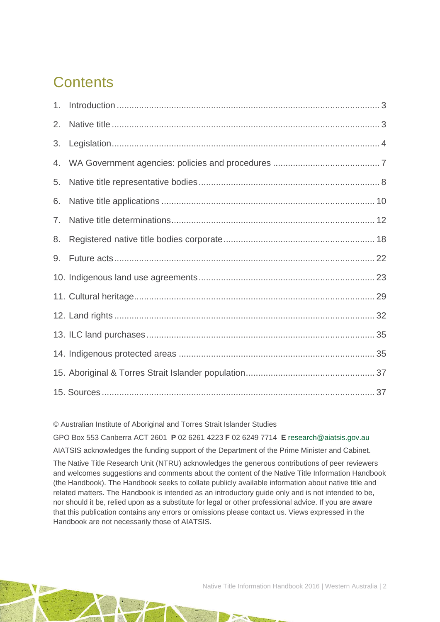# **Contents**

| 2. |  |
|----|--|
| 3. |  |
| 4. |  |
| 5. |  |
| 6. |  |
| 7. |  |
| 8. |  |
| 9. |  |
|    |  |
|    |  |
|    |  |
|    |  |
|    |  |
|    |  |
|    |  |

© Australian Institute of Aboriginal and Torres Strait Islander Studies

GPO Box 553 Canberra ACT 2601 **P** 02 6261 4223 **F** 02 6249 7714 **E** [research@aiatsis.gov.au](mailto:research@aiatsis.gov.au)

AIATSIS acknowledges the funding support of the Department of the Prime Minister and Cabinet.

The Native Title Research Unit (NTRU) acknowledges the generous contributions of peer reviewers and welcomes suggestions and comments about the content of the Native Title Information Handbook (the Handbook). The Handbook seeks to collate publicly available information about native title and related matters. The Handbook is intended as an introductory guide only and is not intended to be, nor should it be, relied upon as a substitute for legal or other professional advice. If you are aware that this publication contains any errors or omissions please contact us. Views expressed in the Handbook are not necessarily those of AIATSIS.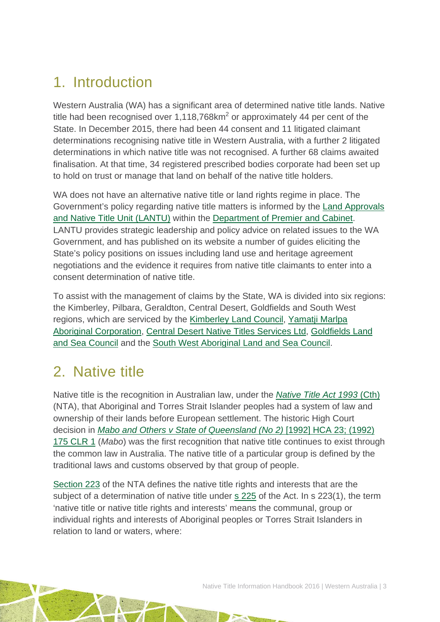# <span id="page-3-0"></span>1. Introduction

Western Australia (WA) has a significant area of determined native title lands. Native title had been recognised over 1,118,768 $km<sup>2</sup>$  or approximately 44 per cent of the State. In December 2015, there had been 44 consent and 11 litigated claimant determinations recognising native title in Western Australia, with a further 2 litigated determinations in which native title was not recognised. A further 68 claims awaited finalisation. At that time, 34 registered prescribed bodies corporate had been set up to hold on trust or manage that land on behalf of the native title holders.

WA does not have an alternative native title or land rights regime in place. The Government's policy regarding native title matters is informed by the [Land Approvals](https://www.dpc.wa.gov.au/lantu/Pages/Default.aspx)  [and Native Title Unit \(LANTU\)](https://www.dpc.wa.gov.au/lantu/Pages/Default.aspx) within the [Department of Premier and Cabinet.](https://www.dpc.wa.gov.au/Pages/Default.aspx) LANTU provides strategic leadership and policy advice on related issues to the WA Government, and has published on its website a number of guides eliciting the State's policy positions on issues including land use and heritage agreement negotiations and the evidence it requires from native title claimants to enter into a consent determination of native title.

To assist with the management of claims by the State, WA is divided into six regions: the Kimberley, Pilbara, Geraldton, Central Desert, Goldfields and South West regions, which are serviced by the [Kimberley Land Council,](http://www.klc.org.au/) [Yamatji Marlpa](http://ymac.org.au/)  [Aboriginal Corporation,](http://ymac.org.au/) [Central Desert Native Titles Services Ltd,](http://www.centraldesert.org.au/) [Goldfields Land](http://www.glsc.com.au/)  [and Sea Council](http://www.glsc.com.au/) and the [South West Aboriginal Land and Sea Council.](http://www.noongar.org.au/)

## <span id="page-3-1"></span>2. Native title

Native title is the recognition in Australian law, under the *[Native Title Act 1993](http://www.austlii.edu.au/au/legis/cth/consol_act/nta1993147/)* (Cth) (NTA), that Aboriginal and Torres Strait Islander peoples had a system of law and ownership of their lands before European settlement. The historic High Court decision in *[Mabo and Others v State of Queensland \(No 2\)](http://www.austlii.edu.au/au/cases/cth/HCA/1992/23.html)* [1992] HCA 23; (1992) [175 CLR 1](http://www.austlii.edu.au/au/cases/cth/HCA/1992/23.html) (*Mabo*) was the first recognition that native title continues to exist through the common law in Australia. The native title of a particular group is defined by the traditional laws and customs observed by that group of people.

[Section 223](http://www.austlii.edu.au/au/legis/cth/consol_act/nta1993147/s223.html) of the NTA defines the native title rights and interests that are the subject of a determination of native title under [s 225](http://www.austlii.edu.au/au/legis/cth/consol_act/nta1993147/s225.html) of the Act. In s 223(1), the term 'native title or native title rights and interests' means the communal, group or individual rights and interests of Aboriginal peoples or Torres Strait Islanders in relation to land or waters, where: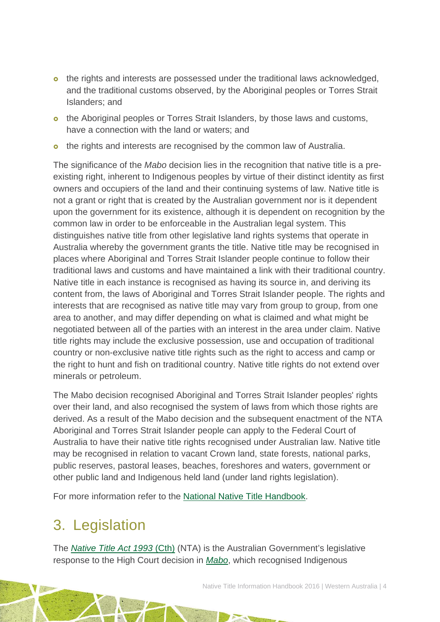- o the rights and interests are possessed under the traditional laws acknowledged. and the traditional customs observed, by the Aboriginal peoples or Torres Strait Islanders; and
- o the Aboriginal peoples or Torres Strait Islanders, by those laws and customs, have a connection with the land or waters; and
- o the rights and interests are recognised by the common law of Australia.

The significance of the *Mabo* decision lies in the recognition that native title is a preexisting right, inherent to Indigenous peoples by virtue of their distinct identity as first owners and occupiers of the land and their continuing systems of law. Native title is not a grant or right that is created by the Australian government nor is it dependent upon the government for its existence, although it is dependent on recognition by the common law in order to be enforceable in the Australian legal system. This distinguishes native title from other legislative land rights systems that operate in Australia whereby the government grants the title. Native title may be recognised in places where Aboriginal and Torres Strait Islander people continue to follow their traditional laws and customs and have maintained a link with their traditional country. Native title in each instance is recognised as having its source in, and deriving its content from, the laws of Aboriginal and Torres Strait Islander people. The rights and interests that are recognised as native title may vary from group to group, from one area to another, and may differ depending on what is claimed and what might be negotiated between all of the parties with an interest in the area under claim. Native title rights may include the exclusive possession, use and occupation of traditional country or non-exclusive native title rights such as the right to access and camp or the right to hunt and fish on traditional country. Native title rights do not extend over minerals or petroleum.

The Mabo decision recognised Aboriginal and Torres Strait Islander peoples' rights over their land, and also recognised the system of laws from which those rights are derived. As a result of the Mabo decision and the subsequent enactment of the NTA Aboriginal and Torres Strait Islander people can apply to the Federal Court of Australia to have their native title rights recognised under Australian law. Native title may be recognised in relation to vacant Crown land, state forests, national parks, public reserves, pastoral leases, beaches, foreshores and waters, government or other public land and Indigenous held land (under land rights legislation).

<span id="page-4-0"></span>For more information refer to the [National Native Title Handbook.](http://aiatsis.gov.au/publications/products/native-title-information-handbooks)

# 3. Legislation

The *[Native Title Act 1993](http://www.austlii.edu.au/au/legis/cth/consol_act/nta1993147/)* (Cth) (NTA) is the Australian Government's legislative response to the High Court decision in *[Mabo](http://www.austlii.edu.au/au/cases/cth/HCA/1992/23.html)*, which recognised Indigenous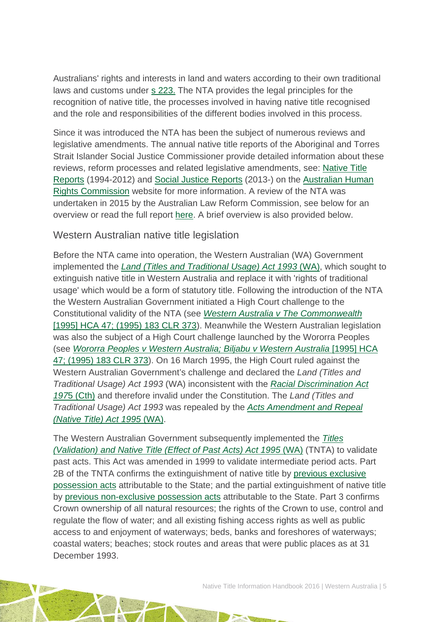Australians' rights and interests in land and waters according to their own traditional laws and customs under [s 223.](http://www.austlii.edu.au/au/legis/cth/consol_act/nta1993147/s223.html) The NTA provides the legal principles for the recognition of native title, the processes involved in having native title recognised and the role and responsibilities of the different bodies involved in this process.

Since it was introduced the NTA has been the subject of numerous reviews and legislative amendments. The annual native title reports of the Aboriginal and Torres Strait Islander Social Justice Commissioner provide detailed information about these reviews, reform processes and related legislative amendments, see: [Native Title](https://www.humanrights.gov.au/our-work/aboriginal-and-torres-strait-islander-social-justice/publications/native-title-reports)  [Reports](https://www.humanrights.gov.au/our-work/aboriginal-and-torres-strait-islander-social-justice/publications/native-title-reports) (1994-2012) and [Social Justice Reports](https://www.humanrights.gov.au/our-work/aboriginal-and-torres-strait-islander-social-justice/projects/social-justice-and-native) (2013-) on the [Australian Human](https://www.humanrights.gov.au/)  [Rights Commission](https://www.humanrights.gov.au/) website for more information. A review of the NTA was undertaken in 2015 by the Australian Law Reform Commission, see below for an overview or read the full report [here.](https://www.alrc.gov.au/publications/alrc126) A brief overview is also provided below.

### Western Australian native title legislation

Before the NTA came into operation, the Western Australian (WA) Government implemented the *[Land \(Titles and Traditional Usage\) Act 1993](http://www.austlii.edu.au/au/legis/wa/num_act/latua199321o1993349/)* (WA), which sought to extinguish native title in Western Australia and replace it with 'rights of traditional usage' which would be a form of statutory title. Following the introduction of the NTA the Western Australian Government initiated a High Court challenge to the Constitutional validity of the NTA (see *[Western Australia v The Commonwealth](http://www.austlii.edu.au/au/cases/cth/high_ct/183clr373.html)* [\[1995\] HCA 47; \(1995\) 183 CLR 373\)](http://www.austlii.edu.au/au/cases/cth/high_ct/183clr373.html). Meanwhile the Western Australian legislation was also the subject of a High Court challenge launched by the Wororra Peoples (see *[Wororra Peoples v Western Australia; Biljabu v Western Australia](http://www.austlii.edu.au/au/cases/cth/high_ct/183clr373.html)* [1995] HCA [47; \(1995\) 183](http://www.austlii.edu.au/au/cases/cth/high_ct/183clr373.html) CLR 373). On 16 March 1995, the High Court ruled against the Western Australian Government's challenge and declared the *Land (Titles and Traditional Usage) Act 1993* (WA) inconsistent with the *[Racial Discrimination Act](http://www.austlii.edu.au/au/legis/cth/consol_act/rda1975202/)  [197](http://www.austlii.edu.au/au/legis/cth/consol_act/rda1975202/)*5 [\(Cth\)](http://www.austlii.edu.au/au/legis/cth/consol_act/rda1975202/) and therefore invalid under the Constitution. The *Land (Titles and Traditional Usage) Act 1993* was repealed by the *[Acts Amendment and Repeal](http://www.austlii.edu.au/au/legis/wa/num_act/aaarta199552o1995379/)  [\(Native Title\) Act 1995](http://www.austlii.edu.au/au/legis/wa/num_act/aaarta199552o1995379/)* (WA).

The Western Australian Government subsequently implemented the *[Titles](http://www.austlii.edu.au/au/legis/wa/consol_act/tantopaa1995488/)  [\(Validation\) and Native Title \(Effect of Past Acts\) Act 1995](http://www.austlii.edu.au/au/legis/wa/consol_act/tantopaa1995488/)* (WA) (TNTA) to validate past acts. This Act was amended in 1999 to validate intermediate period acts. Part 2B of the TNTA confirms the extinguishment of native title by [previous exclusive](http://www.nntt.gov.au/Pages/Glossary.aspx)  [possession acts](http://www.nntt.gov.au/Pages/Glossary.aspx) attributable to the State; and the partial extinguishment of native title by [previous non-exclusive possession acts](http://www.nntt.gov.au/Pages/Glossary.aspx) attributable to the State. Part 3 confirms Crown ownership of all natural resources; the rights of the Crown to use, control and regulate the flow of water; and all existing fishing access rights as well as public access to and enjoyment of waterways; beds, banks and foreshores of waterways; coastal waters; beaches; stock routes and areas that were public places as at 31 December 1993.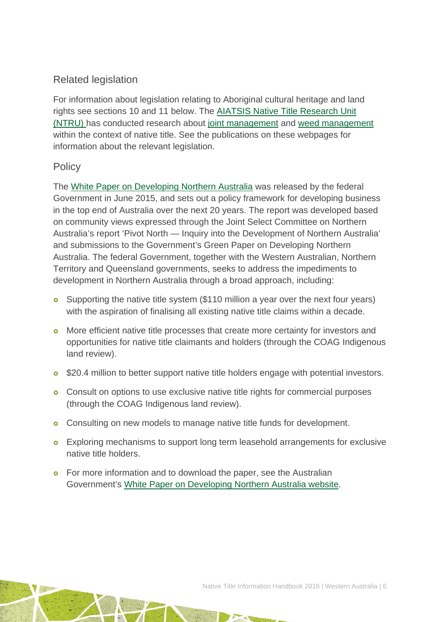## Related legislation

For information about legislation relating to Aboriginal cultural heritage and land rights see sections 10 and 11 below. The [AIATSIS Native Title Research Unit](http://aiatsis.gov.au/research/research-themes/native-title)  [\(NTRU\) h](http://aiatsis.gov.au/research/research-themes/native-title)as conducted research about [joint management](http://aiatsis.gov.au/research-and-guides/joint-management-and-native-title) and [weed management](http://aiatsis.gov.au/research-and-guides/weed-management-native-title-land) within the context of native title. See the publications on these webpages for information about the relevant legislation.

### **Policy**

The [White Paper on Developing Northern Australia](http://industry.gov.au/ONA/whitePaper/Paper/index.html) was released by the federal Government in June 2015, and sets out a policy framework for developing business in the top end of Australia over the next 20 years. The report was developed based on community views expressed through the Joint Select Committee on Northern Australia's report 'Pivot North — Inquiry into the Development of Northern Australia' and submissions to the Government's Green Paper on Developing Northern Australia. The federal Government, together with the Western Australian, Northern Territory and Queensland governments, seeks to address the impediments to development in Northern Australia through a broad approach, including:

- **o** Supporting the native title system (\$110 million a year over the next four years) with the aspiration of finalising all existing native title claims within a decade.
- **o** More efficient native title processes that create more certainty for investors and opportunities for native title claimants and holders (through the COAG Indigenous land review).
- **o** \$20.4 million to better support native title holders engage with potential investors.
- **o** Consult on options to use exclusive native title rights for commercial purposes (through the COAG Indigenous land review).
- **o** Consulting on new models to manage native title funds for development.
- **o** Exploring mechanisms to support long term leasehold arrangements for exclusive native title holders.
- **o** For more information and to download the paper, see the Australian Government's [White Paper on Developing Northern Australia website.](http://industry.gov.au/ONA/WhitePaper/index.html)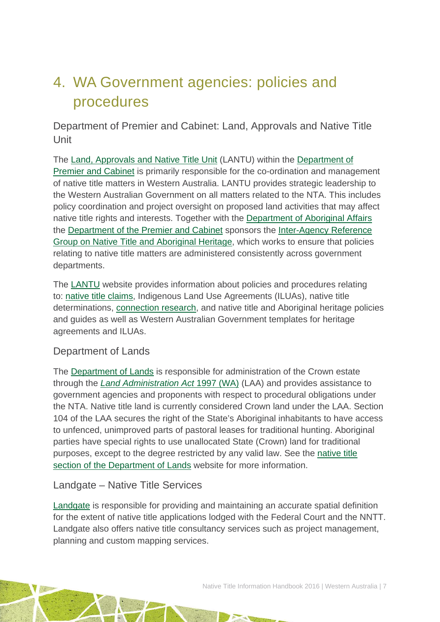# <span id="page-7-0"></span>4. WA Government agencies: policies and procedures

Department of Premier and Cabinet: Land, Approvals and Native Title Unit

The [Land, Approvals and Native Title Unit](http://www.dpc.wa.gov.au/lantu/Pages/Default.aspx) (LANTU) within the [Department of](http://www.dpc.wa.gov.au/Pages/Default.aspx)  [Premier and Cabinet](http://www.dpc.wa.gov.au/Pages/Default.aspx) is primarily responsible for the co-ordination and management of native title matters in Western Australia. LANTU provides strategic leadership to the Western Australian Government on all matters related to the NTA. This includes policy coordination and project oversight on proposed land activities that may affect native title rights and interests. Together with the [Department of Aboriginal Affairs](http://www.daa.wa.gov.au/) the [Department of the Premier and Cabinet](http://www.dpc.wa.gov.au/) sponsors the [Inter-Agency Reference](http://www.dpc.wa.gov.au/lantu/WholeOfGovernment/Pages/ReferenceGrouponNativeTitleandAboriginalHeritage.aspx)  [Group on Native Title and Aboriginal Heritage,](http://www.dpc.wa.gov.au/lantu/WholeOfGovernment/Pages/ReferenceGrouponNativeTitleandAboriginalHeritage.aspx) which works to ensure that policies relating to native title matters are administered consistently across government departments.

The [LANTU](https://www.dpc.wa.gov.au/lantu/Pages/Default.aspx) website provides information about policies and procedures relating to: [native title claims,](http://www.dpc.wa.gov.au/LANTU/CLAIMS/Pages/Default.aspx) Indigenous Land Use Agreements (ILUAs), native title determinations, [connection research,](http://www.dpc.wa.gov.au/lantu/Pages/ConnectionResearch.aspx) and native title and Aboriginal heritage policies and guides as well as Western Australian Government templates for heritage agreements and ILUAs.

### Department of Lands

The [Department of Lands](http://www.lands.wa.gov.au/Pages/default.aspx) is responsible for administration of the Crown estate through the *[Land Administration Act](http://www5.austlii.edu.au/au/legis/wa/consol_act/laa1997200/)* 1997 (WA) (LAA) and provides assistance to government agencies and proponents with respect to procedural obligations under the NTA. Native title land is currently considered Crown land under the LAA. Section 104 of the LAA secures the right of the State's Aboriginal inhabitants to have access to unfenced, unimproved parts of pastoral leases for traditional hunting. Aboriginal parties have special rights to use unallocated State (Crown) land for traditional purposes, except to the degree restricted by any valid law. See the [native title](http://www.lands.wa.gov.au/Crown-Land/Native-Title/Pages/default.aspx)  [section of the Department of Lands](http://www.lands.wa.gov.au/Crown-Land/Native-Title/Pages/default.aspx) website for more information.

### Landgate – Native Title Services

[Landgate](http://www0.landgate.wa.gov.au/business-and-government/specialist-services/native-title-services) is responsible for providing and maintaining an accurate spatial definition for the extent of native title applications lodged with the Federal Court and the NNTT. Landgate also offers native title consultancy services such as project management, planning and custom mapping services.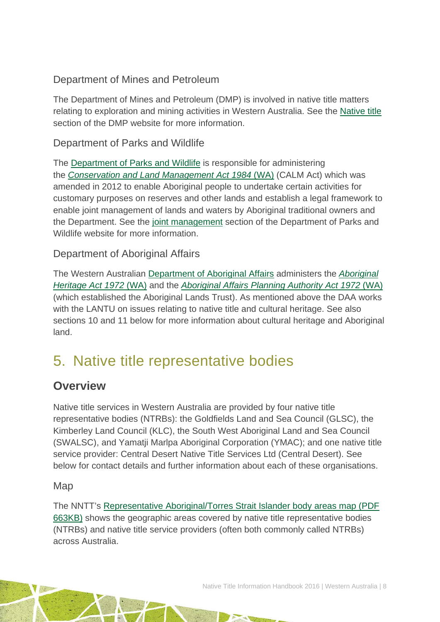## Department of Mines and Petroleum

The [Department of Mines and Petroleum](http://www.dmp.wa.gov.au/index.aspx) (DMP) is involved in native title matters relating to exploration and mining activities in Western Australia. See the [Native title](http://www.dmp.wa.gov.au/Minerals/Native-Title-5481.aspx) section of the DMP website for more information.

### Department of Parks and Wildlife

The [Department of Parks and Wildlife](http://www.dpaw.wa.gov.au/) is responsible for administering the *[Conservation and Land Management Act 1984](http://www5.austlii.edu.au/au/legis/wa/consol_act/calma1984290/)* (WA) (CALM Act) which was amended in 2012 to enable Aboriginal people to undertake certain activities for customary purposes on reserves and other lands and establish a legal framework to enable joint management of lands and waters by Aboriginal traditional owners and the Department. See the [joint management](http://www.dpaw.wa.gov.au/parks/aboriginal-involvement/91-joint-management) section of the Department of Parks and Wildlife website for more information.

### Department of Aboriginal Affairs

The Western Australian [Department of Aboriginal Affairs](http://www.daa.wa.gov.au/) administers the *[Aboriginal](http://www.austlii.edu.au/au/legis/wa/consol_act/aha1972164/)  [Heritage Act 1972](http://www.austlii.edu.au/au/legis/wa/consol_act/aha1972164/)* (WA) and the *[Aboriginal Affairs Planning Authority Act 1972](http://www.austlii.edu.au/au/legis/wa/consol_act/aapaa1972359/)* (WA) (which established the Aboriginal Lands Trust). As mentioned above the DAA works with the LANTU on issues relating to native title and cultural heritage. See also sections 10 and 11 below for more information about cultural heritage and Aboriginal land.

# <span id="page-8-0"></span>5. Native title representative bodies

## **Overview**

Native title services in Western Australia are provided by four native title representative bodies (NTRBs): the Goldfields Land and Sea Council (GLSC), the Kimberley Land Council (KLC), the South West Aboriginal Land and Sea Council (SWALSC), and Yamatji Marlpa Aboriginal Corporation (YMAC); and one native title service provider: Central Desert Native Title Services Ltd (Central Desert). See below for contact details and further information about each of these organisations.

### Map

The NNTT's [Representative Aboriginal/Torres Strait Islander body areas map \(PDF](http://www.nntt.gov.au/Maps/RATSIB_map.pdf)  [663KB\)](http://www.nntt.gov.au/Maps/RATSIB_map.pdf) shows the geographic areas covered by native title representative bodies (NTRBs) and native title service providers (often both commonly called NTRBs) across Australia.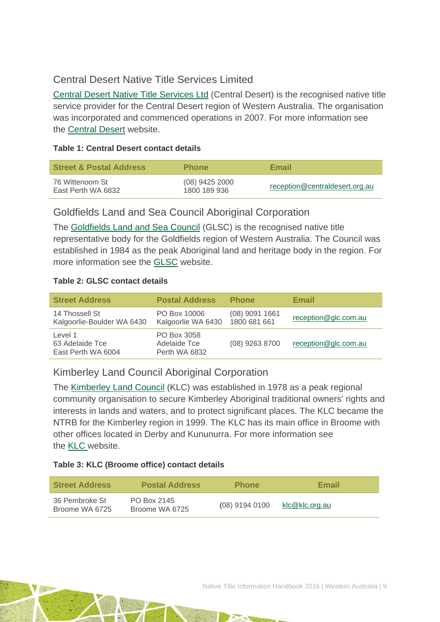### Central Desert Native Title Services Limited

[Central Desert Native Title Services Ltd](http://www.centraldesert.org.au/) (Central Desert) is the recognised native title service provider for the Central Desert region of Western Australia. The organisation was incorporated and commenced operations in 2007. For more information see the [Central Desert](http://www.centraldesert.org.au/) website.

#### **Table 1: Central Desert contact details**

| <b>Street &amp; Postal Address</b>    | <b>Phone</b>                     | Email                          |
|---------------------------------------|----------------------------------|--------------------------------|
| 76 Wittenoom St<br>East Perth WA 6832 | $(08)$ 9425 2000<br>1800 189 936 | reception@centraldesert.org.au |

### Goldfields Land and Sea Council Aboriginal Corporation

The [Goldfields Land and Sea Council](http://www.glsc.com.au/home) (GLSC) is the recognised native title representative body for the Goldfields region of Western Australia. The Council was established in 1984 as the peak Aboriginal land and heritage body in the region. For more information see the [GLSC](http://www.glsc.com.au/home) website.

### **Table 2: GLSC contact details**

| <b>Street Address</b>                            | <b>Postal Address</b>                        | <b>Phone</b>                     | Email                |
|--------------------------------------------------|----------------------------------------------|----------------------------------|----------------------|
| 14 Thossell St<br>Kalgoorlie-Boulder WA 6430     | PO Box 10006<br>Kalgoorlie WA 6430           | $(08)$ 9091 1661<br>1800 681 661 | reception@glc.com.au |
| Level 1<br>63 Adelaide Tce<br>East Perth WA 6004 | PO Box 3058<br>Adelaide Tce<br>Perth WA 6832 | (08) 9263 8700                   | reception@glc.com.au |

### Kimberley Land Council Aboriginal Corporation

The [Kimberley Land Council](http://www.klc.org.au/) (KLC) was established in 1978 as a peak regional community organisation to secure Kimberley Aboriginal traditional owners' rights and interests in lands and waters, and to protect significant places. The KLC became the NTRB for the Kimberley region in 1999. The KLC has its main office in Broome with other offices located in Derby and Kununurra. For more information see the **KLC** website.

### **Table 3: KLC (Broome office) contact details**

| <b>Street Address</b>            | <b>Postal Address</b>         | <b>Phone</b>     | Email          |
|----------------------------------|-------------------------------|------------------|----------------|
| 36 Pembroke St<br>Broome WA 6725 | PO Box 2145<br>Broome WA 6725 | $(08)$ 9194 0100 | klc@klc.org.au |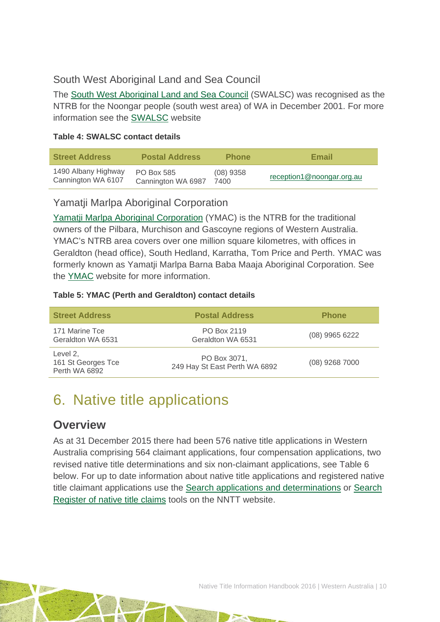## South West Aboriginal Land and Sea Council

The [South West Aboriginal Land and Sea Council](http://www.noongar.org.au/) (SWALSC) was recognised as the NTRB for the Noongar people (south west area) of WA in December 2001. For more information see the [SWALSC](http://www.noongar.org.au/index.php) website

#### **Table 4: SWALSC contact details**

| <b>Street Address</b> | <b>Postal Address</b> | <b>Phone</b> | <b>Email</b>              |
|-----------------------|-----------------------|--------------|---------------------------|
| 1490 Albany Highway   | <b>PO Box 585</b>     | $(08)$ 9358  | reception1@noongar.org.au |
| Cannington WA 6107    | Cannington WA 6987    | 7400         |                           |

### Yamatji Marlpa Aboriginal Corporation

Yamatji Marlpa [Aboriginal Corporation](http://ymac.org.au/) (YMAC) is the NTRB for the traditional owners of the Pilbara, Murchison and Gascoyne regions of Western Australia. YMAC's NTRB area covers over one million square kilometres, with offices in Geraldton (head office), South Hedland, Karratha, Tom Price and Perth. YMAC was formerly known as Yamatji Marlpa Barna Baba Maaja Aboriginal Corporation. See the [YMAC](http://ymac.org.au/) website for more information.

### **Table 5: YMAC (Perth and Geraldton) contact details**

| <b>Street Address</b>                           | <b>Postal Address</b>                         | <b>Phone</b>     |
|-------------------------------------------------|-----------------------------------------------|------------------|
| 171 Marine Tce<br>Geraldton WA 6531             | PO Box 2119<br>Geraldton WA 6531              | $(08)$ 9965 6222 |
| Level 2,<br>161 St Georges Tce<br>Perth WA 6892 | PO Box 3071,<br>249 Hay St East Perth WA 6892 | (08) 9268 7000   |

# <span id="page-10-0"></span>6. Native title applications

## **Overview**

As at 31 December 2015 there had been 576 native title applications in Western Australia comprising 564 claimant applications, four compensation applications, two revised native title determinations and six non-claimant applications, see Table 6 below. For up to date information about native title applications and registered native title claimant applications use the [Search applications and determinations](http://www.nntt.gov.au/searchRegApps/NativeTitleClaims/Pages/default.aspx) or [Search](http://www.nntt.gov.au/searchRegApps/NativeTitleRegisters/Pages/Search-Register-of-Native-Title-Claims.aspx)  [Register of native title claims](http://www.nntt.gov.au/searchRegApps/NativeTitleRegisters/Pages/Search-Register-of-Native-Title-Claims.aspx) tools on the NNTT website.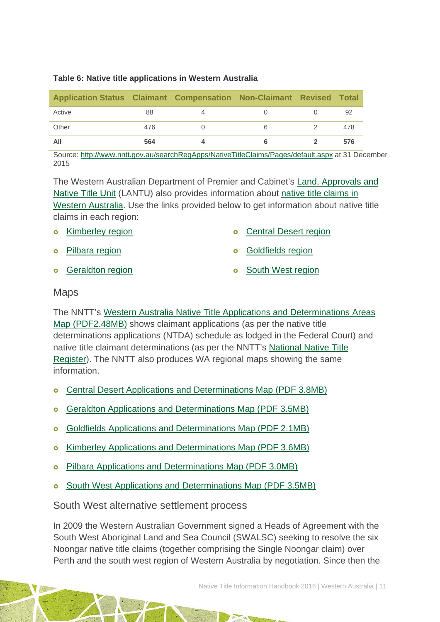#### **Table 6: Native title applications in Western Australia**

| Application Status Claimant Compensation Non-Claimant Revised Total |     |  |     |
|---------------------------------------------------------------------|-----|--|-----|
| Active                                                              | 88  |  | 92  |
| Other                                                               | 476 |  | 478 |
| All                                                                 | 564 |  | 576 |

Source:<http://www.nntt.gov.au/searchRegApps/NativeTitleClaims/Pages/default.aspx> at 31 December 2015

The Western Australian Department of Premier and Cabinet's [Land, Approvals and](http://www.dpc.wa.gov.au/LANTU/Pages/Default.aspx)  [Native Title Unit](http://www.dpc.wa.gov.au/LANTU/Pages/Default.aspx) (LANTU) also provides information about [native title claims in](http://www.dpc.wa.gov.au/lantu/Claims/Pages/Default.aspx)  [Western Australia.](http://www.dpc.wa.gov.au/lantu/Claims/Pages/Default.aspx) Use the links provided below to get information about native title claims in each region:

- **o** [Kimberley region](http://www.dpc.wa.gov.au/lantu/Claims/Kimberley)
- [Pilbara region](http://www.dpc.wa.gov.au/lantu/Claims/Pilbara)
- **o** [Geraldton region](http://www.dpc.wa.gov.au/lantu/Claims/Geraldton)

[Goldfields region](http://www.dpc.wa.gov.au/lantu/Claims/GoldfieldsClaims)

[Central Desert region](http://www.dpc.wa.gov.au/lantu/Claims/CentralDesertClaims)

**o** [South West region](http://www.dpc.wa.gov.au/lantu/Claims/SouthWestClaims)

### Maps

The NNTT's [Western Australia Native Title Applications and Determinations Areas](http://www.nntt.gov.au/Maps/WA_NTDA_Schedule.pdf)  [Map \(PDF2.48MB\)](http://www.nntt.gov.au/Maps/WA_NTDA_Schedule.pdf) shows claimant applications (as per the native title determinations applications (NTDA) schedule as lodged in the Federal Court) and native title claimant determinations (as per the NNTT's [National Native Title](http://www.nntt.gov.au/searchRegApps/NativeTitleRegisters/Pages/Search-National-Native-Title-Register.aspx)  [Register\)](http://www.nntt.gov.au/searchRegApps/NativeTitleRegisters/Pages/Search-National-Native-Title-Register.aspx). The NNTT also produces WA regional maps showing the same information.

- **o** Central Desert Applications and Determinations Map (PDF 3.8MB)
- o Geraldton Applications and Determinations Map (PDF 3.5MB)
- [Goldfields Applications and Determinations Map \(PDF 2.1MB\)](http://www.nntt.gov.au/Maps/WA_Goldfields_NTDA_schedule.pdf)
- [Kimberley Applications and Determinations Map \(PDF 3.6MB\)](http://www.nntt.gov.au/Maps/WA_Kimberley_NTDA_schedule.pdf)
- **o** [Pilbara Applications and Determinations Map \(PDF 3.0MB\)](http://www.nntt.gov.au/Maps/WA_Pilbara_NTDA_Schedule.pdf)
- [South West Applications and Determinations Map \(PDF 3.5MB\)](http://www.nntt.gov.au/Maps/WA_Sth-West_NTDA_schedule.pdf)

### South West alternative settlement process

In 2009 the Western Australian Government signed a Heads of Agreement with the South West Aboriginal Land and Sea Council (SWALSC) seeking to resolve the six Noongar native title claims (together comprising the Single Noongar claim) over Perth and the south west region of Western Australia by negotiation. Since then the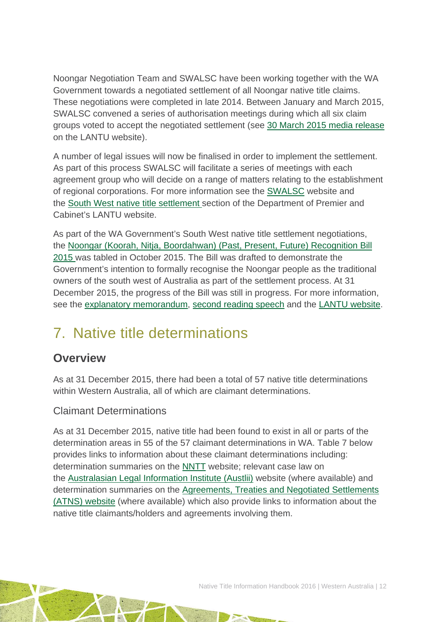Noongar Negotiation Team and SWALSC have been working together with the WA Government towards a negotiated settlement of all Noongar native title claims. These negotiations were completed in late 2014. Between January and March 2015, SWALSC convened a series of authorisation meetings during which all six claim groups voted to accept the negotiated settlement (see [30 March 2015 media release](http://www.mediastatements.wa.gov.au/pages/StatementDetails.aspx?listName=StatementsBarnett&StatId=9270) on the LANTU website).

A number of legal issues will now be finalised in order to implement the settlement. As part of this process SWALSC will facilitate a series of meetings with each agreement group who will decide on a range of matters relating to the establishment of regional corporations. For more information see the [SWALSC](http://www.noongar.org.au/) website and the [South West native title settlement s](http://www.dpc.wa.gov.au/lantu/Claims/Pages/SouthWestSettlement.aspx)ection of the Department of Premier and Cabinet's LANTU website.

As part of the WA Government's South West native title settlement negotiations, the [Noongar \(Koorah, Nitja, Boordahwan\) \(Past, Present, Future\) Recognition Bill](http://www.austlii.edu.au/au/legis/wa/bill/nnbpfrb2015655/)  [2015 w](http://www.austlii.edu.au/au/legis/wa/bill/nnbpfrb2015655/)as tabled in October 2015. The Bill was drafted to demonstrate the Government's intention to formally recognise the Noongar people as the traditional owners of the south west of Australia as part of the settlement process. At 31 December 2015, the progress of the Bill was still in progress. For more information, see the [explanatory memorandum,](http://www.parliament.wa.gov.au/Parliament/Bills.nsf/740F0FB3B3B6189948257ED8000C8548/$File/EM+112-1.pdf) [second reading speech](http://www.parliament.wa.gov.au/Hansard/hansard.nsf/0/5b04723acc4e7c6748257ee0002c4056/$FILE/A39+S1+20151014+p7313b-7314a.pdf) and the [LANTU website.](https://www.dpc.wa.gov.au/lantu/south-west-native-title-settlement/recognition-bill-2015/Pages/default.aspx)

# <span id="page-12-0"></span>7. Native title determinations

## **Overview**

As at 31 December 2015, there had been a total of 57 native title determinations within Western Australia, all of which are claimant determinations.

## Claimant Determinations

As at 31 December 2015, native title had been found to exist in all or parts of the determination areas in 55 of the 57 claimant determinations in WA. Table 7 below provides links to information about these claimant determinations including: determination summaries on the [NNTT](http://www.nntt.gov.au/) website; relevant case law on the [Australasian Legal Information Institute \(Austlii\)](http://www.austlii.edu.au/) website (where available) and determination summaries on the [Agreements, Treaties and Negotiated Settlements](http://www.atns.net.au/)  [\(ATNS\) website](http://www.atns.net.au/) (where available) which also provide links to information about the native title claimants/holders and agreements involving them.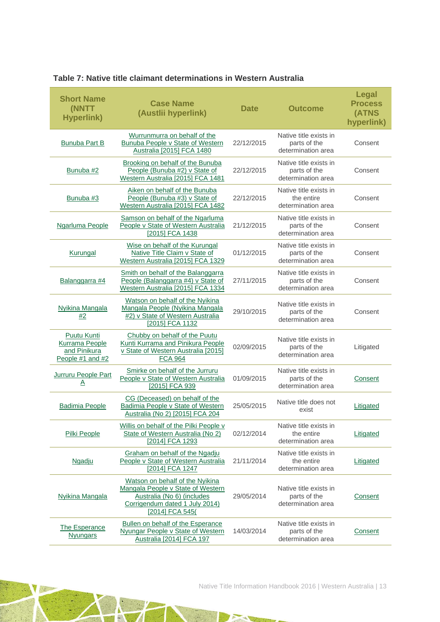| <b>Short Name</b><br>(NNTT<br><b>Hyperlink)</b>                          | <b>Case Name</b><br>(Austlii hyperlink)                                                                                                                 | <b>Date</b> | <b>Outcome</b>                                               | <b>Legal</b><br><b>Process</b><br>(ATNS<br>hyperlink) |
|--------------------------------------------------------------------------|---------------------------------------------------------------------------------------------------------------------------------------------------------|-------------|--------------------------------------------------------------|-------------------------------------------------------|
| <b>Bunuba Part B</b>                                                     | Wurrunmurra on behalf of the<br><b>Bunuba People v State of Western</b><br>Australia [2015] FCA 1480                                                    | 22/12/2015  | Native title exists in<br>parts of the<br>determination area | Consent                                               |
| Bunuba #2                                                                | Brooking on behalf of the Bunuba<br>People (Bunuba #2) v State of<br>Western Australia [2015] FCA 1481                                                  | 22/12/2015  | Native title exists in<br>parts of the<br>determination area | Consent                                               |
| Bunuba #3                                                                | Aiken on behalf of the Bunuba<br>People (Bunuba #3) v State of<br>Western Australia [2015] FCA 1482                                                     | 22/12/2015  | Native title exists in<br>the entire<br>determination area   | Consent                                               |
| <b>Ngarluma People</b>                                                   | Samson on behalf of the Ngarluma<br>People v State of Western Australia<br>[2015] FCA 1438                                                              | 21/12/2015  | Native title exists in<br>parts of the<br>determination area | Consent                                               |
| Kurungal                                                                 | Wise on behalf of the Kurungal<br>Native Title Claim v State of<br>Western Australia [2015] FCA 1329                                                    | 01/12/2015  | Native title exists in<br>parts of the<br>determination area | Consent                                               |
| Balanggarra #4                                                           | Smith on behalf of the Balanggarra<br>People (Balanggarra #4) v State of<br>Western Australia [2015] FCA 1334                                           | 27/11/2015  | Native title exists in<br>parts of the<br>determination area | Consent                                               |
| <b>Nyikina Mangala</b><br>#2                                             | Watson on behalf of the Nyikina<br>Mangala People (Nyikina Mangala<br>#2) v State of Western Australia<br>[2015] FCA 1132                               | 29/10/2015  | Native title exists in<br>parts of the<br>determination area | Consent                                               |
| <b>Puutu Kunti</b><br>Kurrama People<br>and Pinikura<br>People #1 and #2 | Chubby on behalf of the Puutu<br>Kunti Kurrama and Pinikura People<br>v State of Western Australia [2015]<br><b>FCA 964</b>                             | 02/09/2015  | Native title exists in<br>parts of the<br>determination area | Litigated                                             |
| Jurruru People Part<br><u>A</u>                                          | Smirke on behalf of the Jurruru<br>People v State of Western Australia<br>[2015] FCA 939                                                                | 01/09/2015  | Native title exists in<br>parts of the<br>determination area | <b>Consent</b>                                        |
| <b>Badimia People</b>                                                    | CG (Deceased) on behalf of the<br>Badimia People v State of Western<br>Australia (No 2) [2015] FCA 204                                                  | 25/05/2015  | Native title does not<br>exist                               | Litigated                                             |
| Pilki People                                                             | Willis on behalf of the Pilki People v<br>State of Western Australia (No 2)<br>[2014] FCA 1293                                                          | 02/12/2014  | Native title exists in<br>the entire<br>determination area   | Litigated                                             |
| <b>Ngadju</b>                                                            | Graham on behalf of the Ngadju<br>People v State of Western Australia<br>[2014] FCA 1247                                                                | 21/11/2014  | Native title exists in<br>the entire<br>determination area   | Litigated                                             |
| Nyikina Mangala                                                          | Watson on behalf of the Nyikina<br>Mangala People v State of Western<br>Australia (No 6) (includes<br>Corrigendum dated 1 July 2014)<br>[2014] FCA 545( | 29/05/2014  | Native title exists in<br>parts of the<br>determination area | Consent                                               |
| <b>The Esperance</b><br><b>Nyungars</b>                                  | Bullen on behalf of the Esperance<br>Nyungar People v State of Western<br>Australia [2014] FCA 197                                                      | 14/03/2014  | Native title exists in<br>parts of the<br>determination area | Consent                                               |

 $\overline{a}$ 

THE RESIDENCE OF STREET

#### **Table 7: Native title claimant determinations in Western Australia**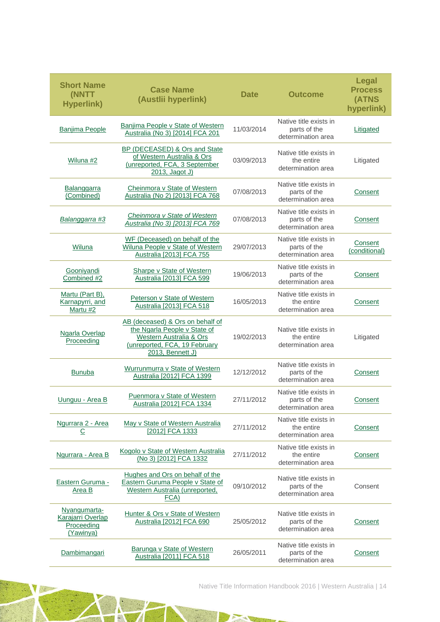| <b>Short Name</b><br>(NNTT<br><b>Hyperlink)</b>              | <b>Case Name</b><br>(Austlii hyperlink)                                                                                                          | <b>Date</b> | <b>Outcome</b>                                               | Legal<br><b>Process</b><br>(ATNS<br>hyperlink) |
|--------------------------------------------------------------|--------------------------------------------------------------------------------------------------------------------------------------------------|-------------|--------------------------------------------------------------|------------------------------------------------|
| <b>Banjima People</b>                                        | Banjima People v State of Western<br>Australia (No 3) [2014] FCA 201                                                                             | 11/03/2014  | Native title exists in<br>parts of the<br>determination area | Litigated                                      |
| Wiluna #2                                                    | BP (DECEASED) & Ors and State<br>of Western Australia & Ors<br>(unreported, FCA, 3 September<br>2013, Jagot J)                                   | 03/09/2013  | Native title exists in<br>the entire<br>determination area   | Litigated                                      |
| Balanggarra<br>(Combined)                                    | Cheinmora v State of Western<br>Australia (No 2) [2013] FCA 768                                                                                  | 07/08/2013  | Native title exists in<br>parts of the<br>determination area | Consent                                        |
| Balanggarra #3                                               | Cheinmora v State of Western<br>Australia (No 3) [2013] FCA 769                                                                                  | 07/08/2013  | Native title exists in<br>parts of the<br>determination area | Consent                                        |
| Wiluna                                                       | WF (Deceased) on behalf of the<br>Wiluna People v State of Western<br>Australia [2013] FCA 755                                                   | 29/07/2013  | Native title exists in<br>parts of the<br>determination area | Consent<br>(conditional)                       |
| Gooniyandi<br>Combined #2                                    | <b>Sharpe v State of Western</b><br>Australia [2013] FCA 599                                                                                     | 19/06/2013  | Native title exists in<br>parts of the<br>determination area | Consent                                        |
| Martu (Part B),<br>Karnapyrri, and<br>Martu #2               | Peterson v State of Western<br>Australia [2013] FCA 518                                                                                          | 16/05/2013  | Native title exists in<br>the entire<br>determination area   | Consent                                        |
| <b>Ngarla Overlap</b><br>Proceeding                          | AB (deceased) & Ors on behalf of<br>the Ngarla People v State of<br>Western Australia & Ors<br>(unreported, FCA, 19 February<br>2013, Bennett J) | 19/02/2013  | Native title exists in<br>the entire<br>determination area   | Litigated                                      |
| <b>Bunuba</b>                                                | Wurrunmurra v State of Western<br>Australia [2012] FCA 1399                                                                                      | 12/12/2012  | Native title exists in<br>parts of the<br>determination area | Consent                                        |
| Uunguu - Area B                                              | Puenmora v State of Western<br>Australia [2012] FCA 1334                                                                                         | 27/11/2012  | Native title exists in<br>parts of the<br>determination area | Consent                                        |
| Ngurrara 2 - Area<br>$\overline{c}$                          | May v State of Western Australia<br>[2012] FCA 1333                                                                                              | 27/11/2012  | Native title exists in<br>the entire<br>determination area   | <b>Consent</b>                                 |
| Ngurrara - Area B                                            | Kogolo v State of Western Australia<br>(No 3) [2012] FCA 1332                                                                                    | 27/11/2012  | Native title exists in<br>the entire<br>determination area   | Consent                                        |
| Eastern Guruma -<br>Area B                                   | Hughes and Ors on behalf of the<br>Eastern Guruma People v State of<br>Western Australia (unreported,<br>FCA)                                    | 09/10/2012  | Native title exists in<br>parts of the<br>determination area | Consent                                        |
| Nyangumarta-<br>Karajarri Overlap<br>Proceeding<br>(Yawinya) | Hunter & Ors v State of Western<br>Australia [2012] FCA 690                                                                                      | 25/05/2012  | Native title exists in<br>parts of the<br>determination area | Consent                                        |
| Dambimangari                                                 | Barunga v State of Western<br>Australia [2011] FCA 518                                                                                           | 26/05/2011  | Native title exists in<br>parts of the<br>determination area | Consent                                        |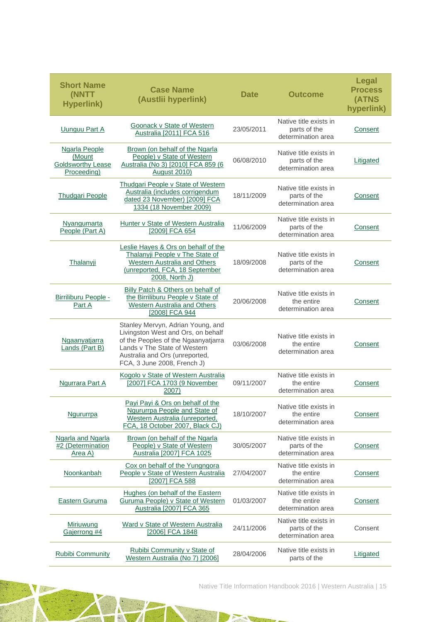| <b>Short Name</b><br>(NNTT<br><b>Hyperlink)</b>                           | <b>Case Name</b><br>(Austlii hyperlink)                                                                                                                                                                         | <b>Date</b> | <b>Outcome</b>                                               | Legal<br><b>Process</b><br>(ATNS<br>hyperlink) |
|---------------------------------------------------------------------------|-----------------------------------------------------------------------------------------------------------------------------------------------------------------------------------------------------------------|-------------|--------------------------------------------------------------|------------------------------------------------|
| <b>Uunguu Part A</b>                                                      | Goonack v State of Western<br>Australia [2011] FCA 516                                                                                                                                                          | 23/05/2011  | Native title exists in<br>parts of the<br>determination area | Consent                                        |
| <b>Ngarla People</b><br>(Mount<br><b>Goldsworthy Lease</b><br>Proceeding) | Brown (on behalf of the Ngarla<br>People) v State of Western<br>Australia (No 3) [2010] FCA 859 (6<br>August 2010)                                                                                              | 06/08/2010  | Native title exists in<br>parts of the<br>determination area | Litigated                                      |
| <b>Thudgari People</b>                                                    | <b>Thudgari People v State of Western</b><br>Australia (includes corrigendum<br>dated 23 November) [2009] FCA<br>1334 (18 November 2009)                                                                        | 18/11/2009  | Native title exists in<br>parts of the<br>determination area | Consent                                        |
| Nyangumarta<br>People (Part A)                                            | Hunter v State of Western Australia<br>[2009] FCA 654                                                                                                                                                           | 11/06/2009  | Native title exists in<br>parts of the<br>determination area | Consent                                        |
| <b>Thalanyji</b>                                                          | Leslie Hayes & Ors on behalf of the<br>Thalanyji People v The State of<br>Western Australia and Others<br>(unreported, FCA, 18 September<br>2008, North J)                                                      | 18/09/2008  | Native title exists in<br>parts of the<br>determination area | Consent                                        |
| Birriliburu People -<br>Part A                                            | Billy Patch & Others on behalf of<br>the Birriliburu People v State of<br><b>Western Australia and Others</b><br>[2008] FCA 944                                                                                 | 20/06/2008  | Native title exists in<br>the entire<br>determination area   | Consent                                        |
| Ngaanyatjarra<br>Lands (Part B)                                           | Stanley Mervyn, Adrian Young, and<br>Livingston West and Ors, on behalf<br>of the Peoples of the Ngaanyatjarra<br>Lands v The State of Western<br>Australia and Ors (unreported,<br>FCA, 3 June 2008, French J) | 03/06/2008  | Native title exists in<br>the entire<br>determination area   | Consent                                        |
| Ngurrara Part A                                                           | Kogolo v State of Western Australia<br>[2007] FCA 1703 (9 November<br>2007)                                                                                                                                     | 09/11/2007  | Native title exists in<br>the entire<br>determination area   | Consent                                        |
| Ngururrpa                                                                 | Payi Payi & Ors on behalf of the<br>Ngururrpa People and State of<br>Western Australia (unreported,<br>FCA, 18 October 2007, Black CJ)                                                                          | 18/10/2007  | Native title exists in<br>the entire<br>determination area   | Consent                                        |
| Ngarla and Ngarla<br>#2 (Determination<br>Area A)                         | Brown (on behalf of the Ngarla<br>People) v State of Western<br>Australia [2007] FCA 1025                                                                                                                       | 30/05/2007  | Native title exists in<br>parts of the<br>determination area | Consent                                        |
| Noonkanbah                                                                | Cox on behalf of the Yungngora<br>People v State of Western Australia<br>[2007] FCA 588                                                                                                                         | 27/04/2007  | Native title exists in<br>the entire<br>determination area   | Consent                                        |
| <b>Eastern Guruma</b>                                                     | Hughes (on behalf of the Eastern<br>Guruma People) v State of Western<br>Australia [2007] FCA 365                                                                                                               | 01/03/2007  | Native title exists in<br>the entire<br>determination area   | <b>Consent</b>                                 |
| <b>Miriuwung</b><br>Gajerrong #4                                          | Ward v State of Western Australia<br>[2006] FCA 1848                                                                                                                                                            | 24/11/2006  | Native title exists in<br>parts of the<br>determination area | Consent                                        |
| Rubibi Community                                                          | Rubibi Community v State of<br>Western Australia (No 7) [2006]                                                                                                                                                  | 28/04/2006  | Native title exists in<br>parts of the                       | Litigated                                      |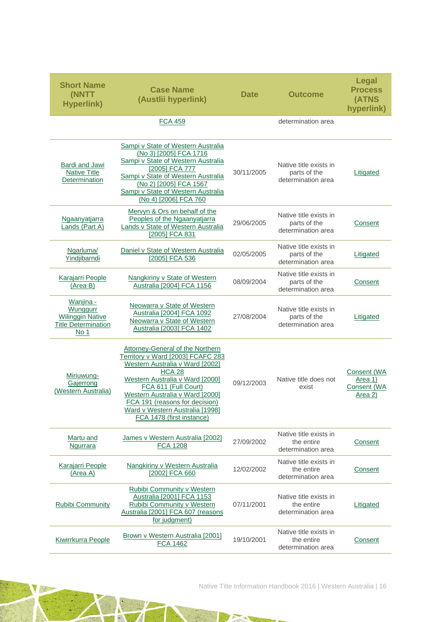| <b>Short Name</b><br>(NNTT<br><b>Hyperlink)</b>                                        | <b>Case Name</b><br>(Austlii hyperlink)                                                                                                                                                                                                                                                                                          | <b>Date</b> | <b>Outcome</b>                                               | <b>Legal</b><br><b>Process</b><br>(ATNS<br>hyperlink)   |
|----------------------------------------------------------------------------------------|----------------------------------------------------------------------------------------------------------------------------------------------------------------------------------------------------------------------------------------------------------------------------------------------------------------------------------|-------------|--------------------------------------------------------------|---------------------------------------------------------|
|                                                                                        | <b>FCA 459</b>                                                                                                                                                                                                                                                                                                                   |             | determination area                                           |                                                         |
| <b>Bardi and Jawi</b><br><b>Native Title</b><br><b>Determination</b>                   | Sampi v State of Western Australia<br>(No 3) [2005] FCA 1716<br>Sampi v State of Western Australia<br>[2005] FCA 777<br>Sampi v State of Western Australia<br>(No 2) [2005] FCA 1567<br>Sampi v State of Western Australia<br>(No 4) [2006] FCA 760                                                                              | 30/11/2005  | Native title exists in<br>parts of the<br>determination area | Litigated                                               |
| Ngaanyatjarra<br>Lands (Part A)                                                        | Mervyn & Ors on behalf of the<br>Peoples of the Ngaanyatjarra<br>Lands v State of Western Australia<br>[2005] FCA 831                                                                                                                                                                                                            | 29/06/2005  | Native title exists in<br>parts of the<br>determination area | Consent                                                 |
| Ngarluma/<br>Yindjibarndi                                                              | Daniel v State of Western Australia<br>[2005] FCA 536                                                                                                                                                                                                                                                                            | 02/05/2005  | Native title exists in<br>parts of the<br>determination area | Litigated                                               |
| Karajarri People<br>(Area B)                                                           | Nangkiriny v State of Western<br>Australia [2004] FCA 1156                                                                                                                                                                                                                                                                       | 08/09/2004  | Native title exists in<br>parts of the<br>determination area | Consent                                                 |
| Wanjina -<br>Wunggurr<br><b>Wilinggin Native</b><br><b>Title Determination</b><br>No 1 | Neowarra v State of Western<br>Australia [2004] FCA 1092<br>Neowarra v State of Western<br>Australia [2003] FCA 1402                                                                                                                                                                                                             | 27/08/2004  | Native title exists in<br>parts of the<br>determination area | Litigated                                               |
| Miriuwung-<br>Gajerrong<br>(Western Australia)                                         | <b>Attorney-General of the Northern</b><br>Territory v Ward [2003] FCAFC 283<br>Western Australia v Ward [2002]<br><b>HCA 28</b><br>Western Australia v Ward [2000]<br>FCA 611 (Full Court)<br>Western Australia v Ward [2000]<br>FCA 191 (reasons for decision)<br>Ward v Western Australia [1998]<br>FCA 1478 (first instance) | 09/12/2003  | Native title does not<br>exist                               | Consent (WA<br><u>Area 1)</u><br>Consent (WA<br>Area 2) |
| <b>Martu and</b><br>Ngurrara                                                           | James v Western Australia [2002]<br><b>FCA 1208</b>                                                                                                                                                                                                                                                                              | 27/09/2002  | Native title exists in<br>the entire<br>determination area   | <b>Consent</b>                                          |
| <b>Karajarri People</b><br>(Area A)                                                    | Nangkiriny v Western Australia<br>[2002] FCA 660                                                                                                                                                                                                                                                                                 | 12/02/2002  | Native title exists in<br>the entire<br>determination area   | Consent                                                 |
| <b>Rubibi Community</b>                                                                | <b>Rubibi Community v Western</b><br>Australia [2001] FCA 1153<br>Rubibi Community v Western<br>Australia [2001] FCA 607 (reasons<br>for judgment)                                                                                                                                                                               | 07/11/2001  | Native title exists in<br>the entire<br>determination area   | Litigated                                               |
| Kiwirrkurra People                                                                     | Brown v Western Australia [2001]<br><b>FCA 1462</b>                                                                                                                                                                                                                                                                              | 19/10/2001  | Native title exists in<br>the entire<br>determination area   | Consent                                                 |

TATE

TN.

 $\frac{1}{2}$ 

Native Title Information Handbook 2016 | Western Australia | 16

a g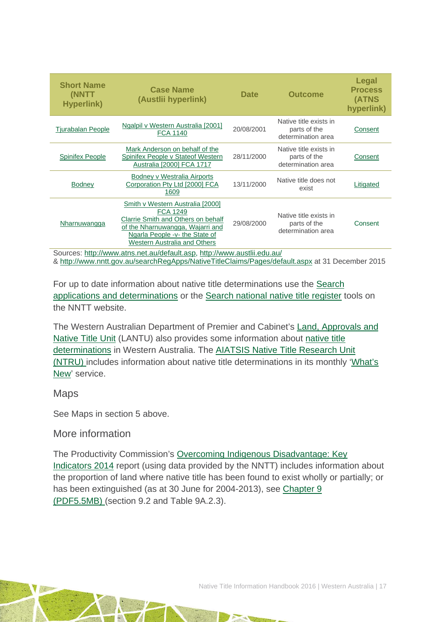| <b>Short Name</b><br>(NNTT<br><b>Hyperlink)</b> | <b>Case Name</b><br>(Austlii hyperlink)                                                                                                                                                         | <b>Date</b> | <b>Outcome</b>                                               | <b>Legal</b><br><b>Process</b><br>(ATNS<br>hyperlink) |
|-------------------------------------------------|-------------------------------------------------------------------------------------------------------------------------------------------------------------------------------------------------|-------------|--------------------------------------------------------------|-------------------------------------------------------|
| <b>Tjurabalan People</b>                        | Ngalpil v Western Australia [2001]<br><b>FCA 1140</b>                                                                                                                                           | 20/08/2001  | Native title exists in<br>parts of the<br>determination area | Consent                                               |
| <b>Spinifex People</b>                          | Mark Anderson on behalf of the<br>Spinifex People v Stateof Western<br>Australia [2000] FCA 1717                                                                                                | 28/11/2000  | Native title exists in<br>parts of the<br>determination area | Consent                                               |
| <b>Bodney</b>                                   | Bodney v Westralia Airports<br>Corporation Pty Ltd [2000] FCA<br>1609                                                                                                                           | 13/11/2000  | Native title does not<br>exist                               | Litigated                                             |
| Nharnuwangga                                    | Smith v Western Australia [2000]<br><b>FCA 1249</b><br>Clarrie Smith and Others on behalf<br>of the Nharnuwangga, Wajarri and<br>Ngarla People -v- the State of<br>Western Australia and Others | 29/08/2000  | Native title exists in<br>parts of the<br>determination area | Consent                                               |

Sources: [http://www.atns.net.au/default.asp,](http://www.atns.net.au/default.asp)<http://www.austlii.edu.au/> &<http://www.nntt.gov.au/searchRegApps/NativeTitleClaims/Pages/default.aspx> at 31 December 2015

For up to date information about native title determinations use the [Search](http://www.nntt.gov.au/searchRegApps/NativeTitleClaims/Pages/default.aspx)  [applications and determinations](http://www.nntt.gov.au/searchRegApps/NativeTitleClaims/Pages/default.aspx) or the [Search national native title register](http://www.nntt.gov.au/searchRegApps/NativeTitleRegisters/Pages/Search-National-Native-Title-Register.aspx) tools on the NNTT website.

The Western Australian Department of Premier and Cabinet's [Land, Approvals and](http://www.dpc.wa.gov.au/LANTU/Pages/Default.aspx)  [Native Title Unit](http://www.dpc.wa.gov.au/LANTU/Pages/Default.aspx) (LANTU) also provides some information about [native title](http://www.dpc.wa.gov.au/lantu/Determinations/Pages/Default.aspx)  [determinations](http://www.dpc.wa.gov.au/lantu/Determinations/Pages/Default.aspx) in Western Australia. The AIATSIS Native Title Research Unit [\(NTRU\) i](http://aiatsis.gov.au/research/research-themes/native-title)ncludes information about native title determinations in its monthly ['What's](http://aiatsis.gov.au/research/research-themes/native-title/publications/whats-new)  [New'](http://aiatsis.gov.au/research/research-themes/native-title/publications/whats-new) service.

### Maps

See Maps in section 5 above.

### More information

The Productivity Commission's [Overcoming Indigenous Disadvantage: Key](http://www.pc.gov.au/research/recurring/overcoming-indigenous-disadvantage/key-indicators-2014)  [Indicators 2014](http://www.pc.gov.au/research/recurring/overcoming-indigenous-disadvantage/key-indicators-2014) report (using data provided by the NNTT) includes information about the proportion of land where native title has been found to exist wholly or partially; or has been extinguished (as at 30 June for 2004-2013), see [Chapter 9](http://www.pc.gov.au/research/recurring/overcoming-indigenous-disadvantage/key-indicators-2014/09-key-indicators-2014-chapter9.pdf)  [\(PDF5.5MB\)](http://www.pc.gov.au/research/recurring/overcoming-indigenous-disadvantage/key-indicators-2014/09-key-indicators-2014-chapter9.pdf) (section 9.2 and Table 9A.2.3).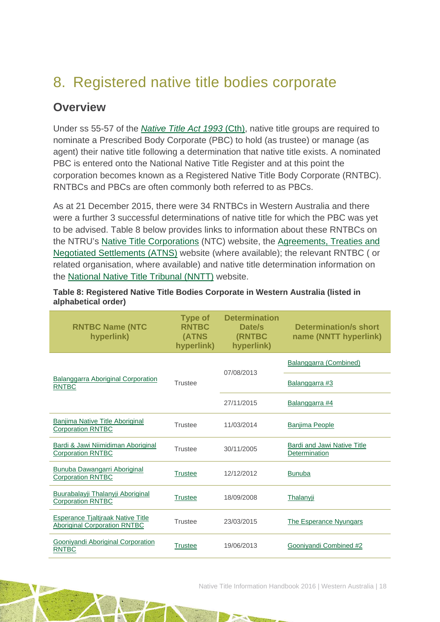# <span id="page-18-0"></span>8. Registered native title bodies corporate

## **Overview**

Under ss 55-57 of the *[Native Title Act 1993](http://www.austlii.edu.au/au/legis/cth/consol_act/nta1993147/s227.html)* (Cth), native title groups are required to nominate a Prescribed Body Corporate (PBC) to hold (as trustee) or manage (as agent) their native title following a determination that native title exists. A nominated PBC is entered onto the National Native Title Register and at this point the corporation becomes known as a Registered Native Title Body Corporate (RNTBC). RNTBCs and PBCs are often commonly both referred to as PBCs.

As at 21 December 2015, there were 34 RNTBCs in Western Australia and there were a further 3 successful determinations of native title for which the PBC was yet to be advised. Table 8 below provides links to information about these RNTBCs on the NTRU's [Native Title Corporations](http://www.nativetitle.org.au/) (NTC) website, the [Agreements, Treaties and](http://www.atns.net.au/)  [Negotiated Settlements \(ATNS\)](http://www.atns.net.au/) website (where available); the relevant RNTBC ( or related organisation, where available) and native title determination information on the [National Native Title Tribunal \(NNTT\)](http://www.nntt.gov.au/) website.

| Table 8: Registered Native Title Bodies Corporate in Western Australia (listed in |  |
|-----------------------------------------------------------------------------------|--|
| alphabetical order)                                                               |  |

| <b>RNTBC Name (NTC</b><br>hyperlink)                                            | <b>Type of</b><br><b>RNTBC</b><br><b>(ATNS</b><br>hyperlink) | <b>Determination</b><br>Date/s<br>(RNTBC<br>hyperlink) | <b>Determination/s short</b><br>name (NNTT hyperlink) |
|---------------------------------------------------------------------------------|--------------------------------------------------------------|--------------------------------------------------------|-------------------------------------------------------|
|                                                                                 |                                                              | 07/08/2013                                             | Balanggarra (Combined)                                |
| <b>Balanggarra Aboriginal Corporation</b><br><b>RNTBC</b>                       | <b>Trustee</b>                                               |                                                        | Balanggarra #3                                        |
|                                                                                 |                                                              | 27/11/2015                                             | Balanggarra #4                                        |
| <b>Banjima Native Title Aboriginal</b><br><b>Corporation RNTBC</b>              | Trustee                                                      | 11/03/2014                                             | <b>Banjima People</b>                                 |
| Bardi & Jawi Niimidiman Aboriginal<br><b>Corporation RNTBC</b>                  | <b>Trustee</b>                                               | 30/11/2005                                             | <b>Bardi and Jawi Native Title</b><br>Determination   |
| Bunuba Dawangarri Aboriginal<br><b>Corporation RNTBC</b>                        | <b>Trustee</b>                                               | 12/12/2012                                             | <b>Bunuba</b>                                         |
| Buurabalayji Thalanyji Aboriginal<br><b>Corporation RNTBC</b>                   | <b>Trustee</b>                                               | 18/09/2008                                             | Thalanyji                                             |
| <b>Esperance Tjaltjraak Native Title</b><br><b>Aboriginal Corporation RNTBC</b> | <b>Trustee</b>                                               | 23/03/2015                                             | <b>The Esperance Nyungars</b>                         |
| Gooniyandi Aboriginal Corporation<br><b>RNTBC</b>                               | <b>Trustee</b>                                               | 19/06/2013                                             | Gooniyandi Combined #2                                |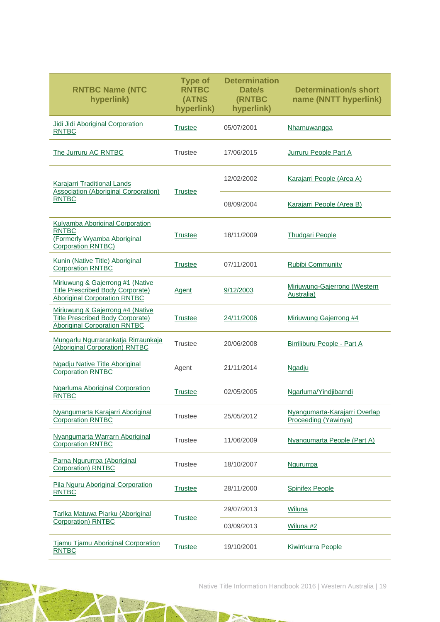| <b>RNTBC Name (NTC</b><br>hyperlink)                                                                               | <b>Type of</b><br><b>RNTBC</b><br>(ATNS<br>hyperlink) | <b>Determination</b><br>Date/s<br>(RNTBC<br>hyperlink) | <b>Determination/s short</b><br>name (NNTT hyperlink) |
|--------------------------------------------------------------------------------------------------------------------|-------------------------------------------------------|--------------------------------------------------------|-------------------------------------------------------|
| Jidi Jidi Aboriginal Corporation<br><b>RNTBC</b>                                                                   | <b>Trustee</b>                                        | 05/07/2001                                             | Nharnuwangga                                          |
| The Jurruru AC RNTBC                                                                                               | <b>Trustee</b>                                        | 17/06/2015                                             | Jurruru People Part A                                 |
| Karajarri Traditional Lands                                                                                        |                                                       | 12/02/2002                                             | Karajarri People (Area A)                             |
| <b>Association (Aboriginal Corporation)</b><br><b>RNTBC</b>                                                        | <b>Trustee</b>                                        | 08/09/2004                                             | Karajarri People (Area B)                             |
| Kulyamba Aboriginal Corporation<br><b>RNTBC</b><br>(Formerly Wyamba Aboriginal<br><b>Corporation RNTBC)</b>        | <b>Trustee</b>                                        | 18/11/2009                                             | <b>Thudgari People</b>                                |
| Kunin (Native Title) Aboriginal<br><b>Corporation RNTBC</b>                                                        | <b>Trustee</b>                                        | 07/11/2001                                             | <b>Rubibi Community</b>                               |
| Miriuwung & Gajerrong #1 (Native<br><b>Title Prescribed Body Corporate)</b><br><b>Aboriginal Corporation RNTBC</b> | <b>Agent</b>                                          | 9/12/2003                                              | Miriuwung-Gajerrong (Western<br>Australia)            |
| Miriuwung & Gajerrong #4 (Native<br><b>Title Prescribed Body Corporate)</b><br><b>Aboriginal Corporation RNTBC</b> | <b>Trustee</b>                                        | 24/11/2006                                             | Miriuwung Gajerrong #4                                |
| Mungarlu Ngurrarankatja Rirraunkaja<br>(Aboriginal Corporation) RNTBC                                              | <b>Trustee</b>                                        | 20/06/2008                                             | Birriliburu People - Part A                           |
| Ngadju Native Title Aboriginal<br><b>Corporation RNTBC</b>                                                         | Agent                                                 | 21/11/2014                                             | Ngadju                                                |
| <b>Ngarluma Aboriginal Corporation</b><br><b>RNTBC</b>                                                             | <b>Trustee</b>                                        | 02/05/2005                                             | Ngarluma/Yindjibarndi                                 |
| Nyangumarta Karajarri Aboriginal<br><b>Corporation RNTBC</b>                                                       | <b>Trustee</b>                                        | 25/05/2012                                             | Nyangumarta-Karajarri Overlap<br>Proceeding (Yawinya) |
| Nyangumarta Warrarn Aboriginal<br><b>Corporation RNTBC</b>                                                         | <b>Trustee</b>                                        | 11/06/2009                                             | Nyangumarta People (Part A)                           |
| Parna Ngururrpa (Aboriginal<br><b>Corporation</b> ) RNTBC                                                          | <b>Trustee</b>                                        | 18/10/2007                                             | <b>Ngururrpa</b>                                      |
| Pila Nguru Aboriginal Corporation<br><b>RNTBC</b>                                                                  | <b>Trustee</b>                                        | 28/11/2000                                             | <b>Spinifex People</b>                                |
| Tarlka Matuwa Piarku (Aboriginal                                                                                   |                                                       | 29/07/2013                                             | Wiluna                                                |
| <b>Corporation) RNTBC</b>                                                                                          | <b>Trustee</b>                                        | 03/09/2013                                             | Wiluna #2                                             |
| <b>Tjamu Tjamu Aboriginal Corporation</b><br><b>RNTBC</b>                                                          | <b>Trustee</b>                                        | 19/10/2001                                             | Kiwirrkurra People                                    |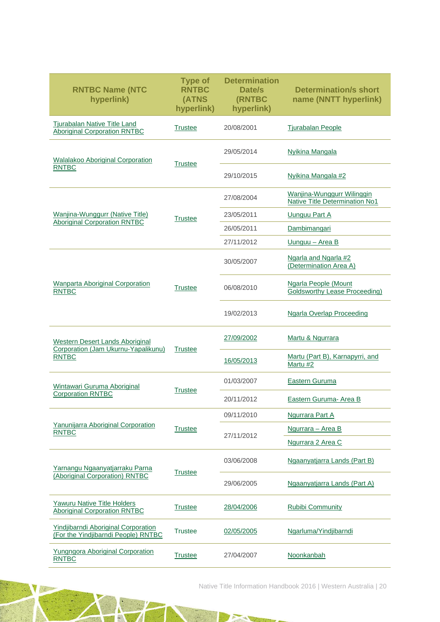| <b>RNTBC Name (NTC</b><br>hyperlink)                                              | <b>Type of</b><br><b>RNTBC</b><br>(ATNS<br>hyperlink) | <b>Determination</b><br>Date/s<br>(RNTBC<br>hyperlink) | <b>Determination/s short</b><br>name (NNTT hyperlink)        |
|-----------------------------------------------------------------------------------|-------------------------------------------------------|--------------------------------------------------------|--------------------------------------------------------------|
| Tjurabalan Native Title Land<br><b>Aboriginal Corporation RNTBC</b>               | <b>Trustee</b>                                        | 20/08/2001                                             | <b>Tjurabalan People</b>                                     |
| <b>Walalakoo Aboriginal Corporation</b>                                           | <b>Trustee</b>                                        | 29/05/2014                                             | <b>Nyikina Mangala</b>                                       |
| <b>RNTBC</b>                                                                      | 29/10/2015                                            |                                                        | Nyikina Mangala #2                                           |
|                                                                                   |                                                       | 27/08/2004                                             | Wanjina-Wunggurr Wilinggin<br>Native Title Determination No1 |
| Wanjina-Wunggurr (Native Title)<br><b>Aboriginal Corporation RNTBC</b>            | <b>Trustee</b>                                        | 23/05/2011                                             | Uunguu Part A                                                |
|                                                                                   |                                                       | 26/05/2011                                             | Dambimangari                                                 |
|                                                                                   |                                                       | 27/11/2012                                             | Uunguu - Area B                                              |
|                                                                                   |                                                       | 30/05/2007                                             | Ngarla and Ngarla #2<br>(Determination Area A)               |
| <b>Wanparta Aboriginal Corporation</b><br><b>RNTBC</b>                            | <b>Trustee</b>                                        | 06/08/2010                                             | Ngarla People (Mount<br><b>Goldsworthy Lease Proceeding)</b> |
|                                                                                   |                                                       | 19/02/2013                                             | <b>Ngarla Overlap Proceeding</b>                             |
| Western Desert Lands Aboriginal<br>Corporation (Jam Ukurnu-Yapalikunu)            | <b>Trustee</b>                                        | 27/09/2002                                             | Martu & Ngurrara                                             |
| <b>RNTBC</b>                                                                      |                                                       | 16/05/2013                                             | Martu (Part B), Karnapyrri, and<br>Martu #2                  |
| Wintawari Guruma Aboriginal                                                       |                                                       | 01/03/2007                                             | <b>Eastern Guruma</b>                                        |
| <b>Corporation RNTBC</b>                                                          | <b>Trustee</b>                                        | 20/11/2012                                             | <b>Eastern Guruma- Area B</b>                                |
|                                                                                   |                                                       | 09/11/2010                                             | Ngurrara Part A                                              |
| Yanunijarra Aboriginal Corporation<br><b>RNTBC</b>                                | <b>Trustee</b>                                        | 27/11/2012                                             | Ngurrara - Area B                                            |
|                                                                                   |                                                       |                                                        | Ngurrara 2 Area C                                            |
| Yarnangu Ngaanyatjarraku Parna                                                    | <b>Trustee</b>                                        | 03/06/2008                                             | Ngaanyatjarra Lands (Part B)                                 |
| (Aboriginal Corporation) RNTBC                                                    |                                                       | 29/06/2005                                             | Ngaanyatjarra Lands (Part A)                                 |
| <b>Yawuru Native Title Holders</b><br><b>Aboriginal Corporation RNTBC</b>         | <b>Trustee</b>                                        | 28/04/2006                                             | Rubibi Community                                             |
| <b>Yindjibarndi Aboriginal Corporation</b><br>(For the Yindjibarndi People) RNTBC | <b>Trustee</b>                                        | 02/05/2005                                             | Ngarluma/Yindjibarndi                                        |
| <b>Yungngora Aboriginal Corporation</b><br><b>RNTBC</b>                           | <b>Trustee</b>                                        | 27/04/2007                                             | Noonkanbah                                                   |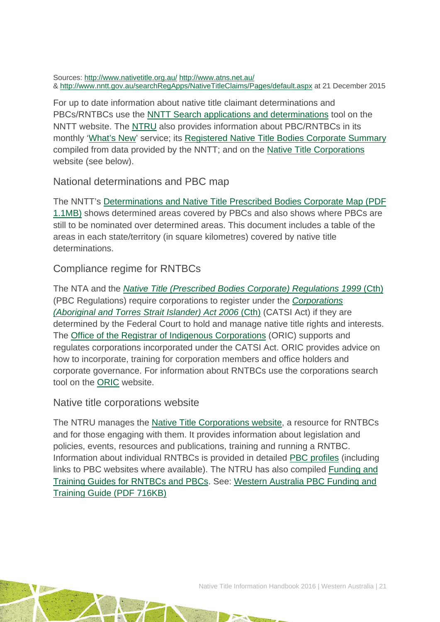Sources:<http://www.nativetitle.org.au/> <http://www.atns.net.au/> &<http://www.nntt.gov.au/searchRegApps/NativeTitleClaims/Pages/default.aspx> at 21 December 2015

For up to date information about native title claimant determinations and PBCs/RNTBCs use the [NNTT Search applications and determinations](http://www.nntt.gov.au/searchRegApps/NativeTitleClaims/Pages/default.aspx) tool on the NNTT website. The [NTRU](http://aiatsis.gov.au/research/research-themes/native-title) also provides information about PBC/RNTBCs in its monthly ['What's New'](http://aiatsis.gov.au/research/research-themes/native-title/publications/whats-new) service; its [Registered Native Title Bodies Corporate Summary](http://aiatsis.gov.au/publications/products/registered-native-title-bodies-corporate-prescribed-bodies-corporate-summary) compiled from data provided by the NNTT; and on the [Native Title Corporations](http://www.nativetitle.org.au/) website (see below).

National determinations and PBC map

The NNTT's [Determinations and Native Title Prescribed Bodies Corporate Map \(PDF](http://www.nntt.gov.au/Maps/Determinations_and_PBCs_map.pdf)  [1.1MB\)](http://www.nntt.gov.au/Maps/Determinations_and_PBCs_map.pdf) shows determined areas covered by PBCs and also shows where PBCs are still to be nominated over determined areas. This document includes a table of the areas in each state/territory (in square kilometres) covered by native title determinations.

### Compliance regime for RNTBCs

The NTA and the *[Native Title \(Prescribed Bodies Corporate\) Regulations 1999](http://www.austlii.edu.au/au/legis/cth/consol_reg/ntbcr1999495/)* (Cth) (PBC Regulations) require corporations to register under the *[Corporations](http://www5.austlii.edu.au/au/legis/cth/consol_act/catsia2006510/)  [\(Aboriginal and Torres Strait Islander\) Act 2006](http://www5.austlii.edu.au/au/legis/cth/consol_act/catsia2006510/)* (Cth) (CATSI Act) if they are determined by the Federal Court to hold and manage native title rights and interests. The [Office of the Registrar of Indigenous Corporations](http://www.oric.gov.au/) (ORIC) supports and regulates corporations incorporated under the CATSI Act. ORIC provides advice on how to incorporate, training for corporation members and office holders and corporate governance. For information about RNTBCs use the corporations search tool on the [ORIC](http://www.oric.gov.au/) website.

Native title corporations website

The NTRU manages the [Native Title Corporations](http://www.nativetitle.org.au/) website, a resource for RNTBCs and for those engaging with them. It provides information about legislation and policies, events, resources and publications, training and running a RNTBC. Information about individual RNTBCs is provided in detailed [PBC profiles](http://www.nativetitle.org.au/profiles.html) (including links to PBC websites where available). The NTRU has also compiled [Funding and](http://nativetitle.org.au/toolkits.html)  [Training Guides for RNTBCs and PBCs.](http://nativetitle.org.au/toolkits.html) See: [Western Australia PBC Funding and](http://nativetitle.org.au/documents/2015_national_pbc_funding_and_training_guide.pdf)  [Training Guide \(PDF 716KB\)](http://nativetitle.org.au/documents/2015_national_pbc_funding_and_training_guide.pdf)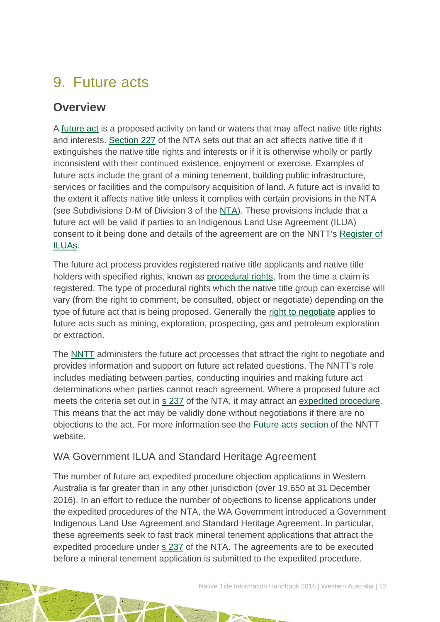# <span id="page-22-0"></span>9. Future acts

## **Overview**

A [future act](http://www.nntt.gov.au/Pages/Glossary.aspx) is a proposed activity on land or waters that may affect native title rights and interests. [Section 227](http://www.austlii.edu.au/au/legis/cth/consol_act/nta1993147/s227.html) of the NTA sets out that an act affects native title if it extinguishes the native title rights and interests or if it is otherwise wholly or partly inconsistent with their continued existence, enjoyment or exercise. Examples of future acts include the grant of a mining tenement, building public infrastructure, services or facilities and the compulsory acquisition of land. A future act is invalid to the extent it affects native title unless it complies with certain provisions in the NTA (see Subdivisions D-M of Division 3 of the [NTA\)](http://www.austlii.edu.au/au/legis/cth/consol_act/nta1993147/). These provisions include that a future act will be valid if parties to an Indigenous Land Use Agreement (ILUA) consent to it being done and details of the agreement are on the NNTT's [Register of](http://www.nntt.gov.au/searchRegApps/NativeTitleRegisters/Pages/Search-Register-of-Indigenous-Land-Use-Agreements.aspx)  [ILUAs.](http://www.nntt.gov.au/searchRegApps/NativeTitleRegisters/Pages/Search-Register-of-Indigenous-Land-Use-Agreements.aspx)

The future act process provides registered native title applicants and native title holders with specified rights, known as [procedural rights,](http://www.nntt.gov.au/Pages/Glossary.aspx) from the time a claim is registered. The type of procedural rights which the native title group can exercise will vary (from the right to comment, be consulted, object or negotiate) depending on the type of future act that is being proposed. Generally the [right to negotiate](http://www.nntt.gov.au/Pages/Glossary.aspx) applies to future acts such as mining, exploration, prospecting, gas and petroleum exploration or extraction.

The [NNTT](http://www.nntt.gov.au/Pages/Home-Page.aspx) administers the future act processes that attract the right to negotiate and provides information and support on future act related questions. The NNTT's role includes mediating between parties, conducting inquiries and making future act determinations when parties cannot reach agreement. Where a proposed future act meets the criteria set out in [s 237](http://www.austlii.edu.au/au/legis/cth/consol_act/nta1993147/s237.html) of the NTA, it may attract an [expedited procedure.](http://www.nntt.gov.au/Pages/Glossary.aspx) This means that the act may be validly done without negotiations if there are no objections to the act. For more information see the [Future acts section](http://www.nntt.gov.au/futureacts/Pages/default.aspx) of the NNTT website.

### WA Government ILUA and Standard Heritage Agreement

The number of future act expedited procedure objection applications in Western Australia is far greater than in any other jurisdiction (over 19,650 at 31 December 2016). In an effort to reduce the number of objections to license applications under the expedited procedures of the NTA, the WA Government introduced a Government Indigenous Land Use Agreement and Standard Heritage Agreement. In particular, these agreements seek to fast track mineral tenement applications that attract the expedited procedure under [s 237](http://www.austlii.edu.au/au/legis/cth/consol_act/nta1993147/s237.html) of the NTA. The agreements are to be executed before a mineral tenement application is submitted to the expedited procedure.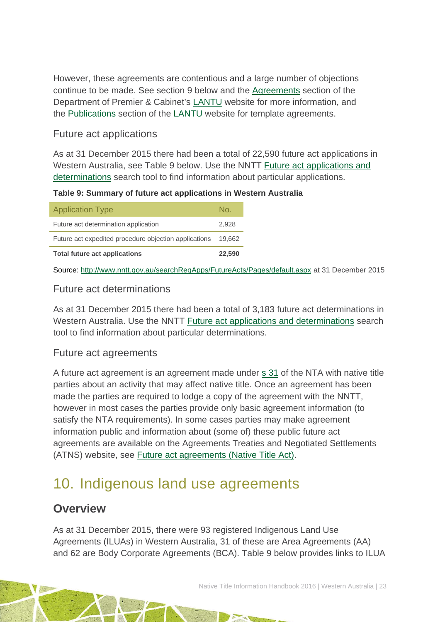However, these agreements are contentious and a large number of objections continue to be made. See section 9 below and the [Agreements](http://www.dpc.wa.gov.au/lantu/Agreements/Pages/Default.aspx) section of the Department of Premier & Cabinet's [LANTU](http://www.dpc.wa.gov.au/lantu/WhatIsNativeTitle/Pages/About-Native-Title.aspx) website for more information, and the [Publications](http://www.dpc.wa.gov.au/lantu/MediaPublications/Pages/Publications.aspx) section of the [LANTU](http://www.dpc.wa.gov.au/lantu/WhatIsNativeTitle/Pages/About-Native-Title.aspx) website for template agreements.

### Future act applications

As at 31 December 2015 there had been a total of 22,590 future act applications in Western Australia, see Table 9 below. Use the NNTT [Future act applications and](http://www.nntt.gov.au/searchRegApps/FutureActs/Pages/default.aspx)  [determinations](http://www.nntt.gov.au/searchRegApps/FutureActs/Pages/default.aspx) search tool to find information about particular applications.

**Table 9: Summary of future act applications in Western Australia**

| No.    |
|--------|
| 2.928  |
| 19.662 |
| 22,590 |
|        |

Source: <http://www.nntt.gov.au/searchRegApps/FutureActs/Pages/default.aspx> at 31 December 2015

### Future act determinations

As at 31 December 2015 there had been a total of 3,183 future act determinations in Western Australia. Use the NNTT [Future act applications and determinations](http://www.nntt.gov.au/searchRegApps/FutureActs/Pages/default.aspx) search tool to find information about particular determinations.

### Future act agreements

A future act agreement is an agreement made under s [31](http://www.austlii.edu.au/au/legis/cth/consol_act/nta1993147/s31.html) of the NTA with native title parties about an activity that may affect native title. Once an agreement has been made the parties are required to lodge a copy of the agreement with the NNTT, however in most cases the parties provide only basic agreement information (to satisfy the NTA requirements). In some cases parties may make agreement information public and information about (some of) these public future act agreements are available on the Agreements Treaties and Negotiated Settlements (ATNS) website, see [Future act agreements \(Native Title Act\).](http://www.atns.net.au/subcategory.asp?subcategoryID=120)

## <span id="page-23-0"></span>10. Indigenous land use agreements

## **Overview**

As at 31 December 2015, there were 93 registered Indigenous Land Use Agreements (ILUAs) in Western Australia, 31 of these are Area Agreements (AA) and 62 are Body Corporate Agreements (BCA). Table 9 below provides links to ILUA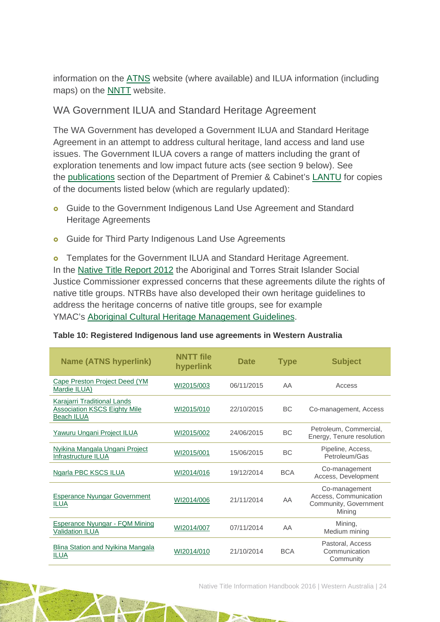information on the [ATNS](http://www.atns.net.au/) website (where available) and ILUA information (including maps) on the [NNTT](http://www.nntt.gov.au/) website.

### WA Government ILUA and Standard Heritage Agreement

The WA Government has developed a Government ILUA and Standard Heritage Agreement in an attempt to address cultural heritage, land access and land use issues. The Government ILUA covers a range of matters including the grant of exploration tenements and low impact future acts (see section 9 below). See the [publications](http://www.dpc.wa.gov.au/lantu/MediaPublications/Pages/Publications.aspx) section of the Department of Premier & Cabinet's [LANTU](http://www.dpc.wa.gov.au/lantu/Pages/Default.aspx) for copies of the documents listed below (which are regularly updated):

- **o** Guide to the Government Indigenous Land Use Agreement and Standard Heritage Agreements
- **o** Guide for Third Party Indigenous Land Use Agreements

**o** Templates for the Government ILUA and Standard Heritage Agreement. In the [Native Title Report 2012](https://www.humanrights.gov.au/our-work/aboriginal-and-torres-strait-islander-social-justice/publications/native-title-report-2012) the Aboriginal and Torres Strait Islander Social Justice Commissioner expressed concerns that these agreements dilute the rights of native title groups. NTRBs have also developed their own heritage guidelines to address the heritage concerns of native title groups, see for example YMAC's [Aboriginal Cultural Heritage](http://ymac.org.au/wp-content/uploads/2013/07/YMAC-Heritage-Guidelines-Apr-15-2.pdf) Management Guidelines.

| <b>Name (ATNS hyperlink)</b>                                                            | <b>NNTT</b> file<br>hyperlink | <b>Date</b> | <b>Type</b> | <b>Subject</b>                                                            |
|-----------------------------------------------------------------------------------------|-------------------------------|-------------|-------------|---------------------------------------------------------------------------|
| Cape Preston Project Deed (YM<br>Mardie ILUA)                                           | WI2015/003                    | 06/11/2015  | AA          | Access                                                                    |
| Karajarri Traditional Lands<br><b>Association KSCS Eighty Mile</b><br><b>Beach ILUA</b> | WI2015/010                    | 22/10/2015  | <b>BC</b>   | Co-management, Access                                                     |
| Yawuru Ungani Project ILUA                                                              | WI2015/002                    | 24/06/2015  | <b>BC</b>   | Petroleum, Commercial,<br>Energy, Tenure resolution                       |
| Nyikina Mangala Ungani Project<br>Infrastructure ILUA                                   | WI2015/001                    | 15/06/2015  | <b>BC</b>   | Pipeline, Access,<br>Petroleum/Gas                                        |
| Ngarla PBC KSCS ILUA                                                                    | WI2014/016                    | 19/12/2014  | <b>BCA</b>  | Co-management<br>Access, Development                                      |
| <b>Esperance Nyungar Government</b><br><b>ILUA</b>                                      | WI2014/006                    | 21/11/2014  | AA          | Co-management<br>Access, Communication<br>Community, Government<br>Mining |
| <b>Esperance Nyungar - FQM Mining</b><br><b>Validation ILUA</b>                         | WI2014/007                    | 07/11/2014  | AA          | Mining,<br>Medium mining                                                  |
| Blina Station and Nyikina Mangala<br>ILUA                                               | WI2014/010                    | 21/10/2014  | <b>BCA</b>  | Pastoral, Access<br>Communication<br>Community                            |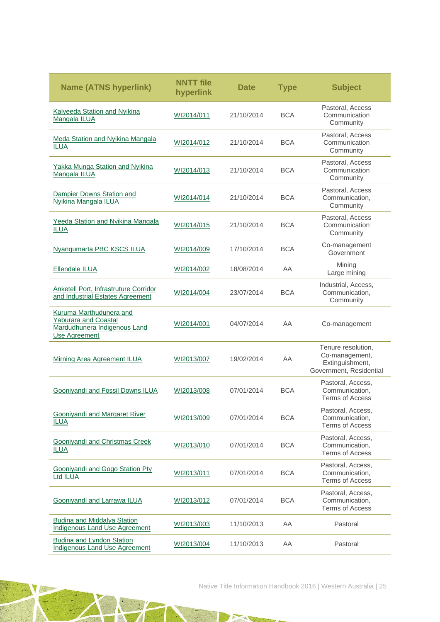| <b>Name (ATNS hyperlink)</b>                                                                                   | <b>NNTT</b> file<br>hyperlink | <b>Date</b> | <b>Type</b> | <b>Subject</b>                                                                     |
|----------------------------------------------------------------------------------------------------------------|-------------------------------|-------------|-------------|------------------------------------------------------------------------------------|
| <b>Kalyeeda Station and Nyikina</b><br>Mangala ILUA                                                            | WI2014/011                    | 21/10/2014  | <b>BCA</b>  | Pastoral, Access<br>Communication<br>Community                                     |
| Meda Station and Nyikina Mangala<br><b>ILUA</b>                                                                | WI2014/012                    | 21/10/2014  | <b>BCA</b>  | Pastoral, Access<br>Communication<br>Community                                     |
| Yakka Munga Station and Nyikina<br>Mangala ILUA                                                                | WI2014/013                    | 21/10/2014  | <b>BCA</b>  | Pastoral, Access<br>Communication<br>Community                                     |
| Dampier Downs Station and<br>Nyikina Mangala ILUA                                                              | WI2014/014                    | 21/10/2014  | <b>BCA</b>  | Pastoral, Access<br>Communication,<br>Community                                    |
| Yeeda Station and Nyikina Mangala<br><b>ILUA</b>                                                               | WI2014/015                    | 21/10/2014  | <b>BCA</b>  | Pastoral, Access<br>Communication<br>Community                                     |
| <b>Nyangumarta PBC KSCS ILUA</b>                                                                               | WI2014/009                    | 17/10/2014  | <b>BCA</b>  | Co-management<br>Government                                                        |
| Ellendale ILUA                                                                                                 | WI2014/002                    | 18/08/2014  | AA          | Mining<br>Large mining                                                             |
| Anketell Port, Infrastruture Corridor<br>and Industrial Estates Agreement                                      | WI2014/004                    | 23/07/2014  | <b>BCA</b>  | Industrial, Access,<br>Communication,<br>Community                                 |
| Kuruma Marthudunera and<br><b>Yaburara and Coastal</b><br>Mardudhunera Indigenous Land<br><b>Use Agreement</b> | WI2014/001                    | 04/07/2014  | AA          | Co-management                                                                      |
| <b>Mirning Area Agreement ILUA</b>                                                                             | WI2013/007                    | 19/02/2014  | AA          | Tenure resolution,<br>Co-management,<br>Extinguishment,<br>Government, Residential |
| Gooniyandi and Fossil Downs ILUA                                                                               | WI2013/008                    | 07/01/2014  | <b>BCA</b>  | Pastoral, Access,<br>Communication,<br><b>Terms of Access</b>                      |
| <b>Gooniyandi and Margaret River</b><br><b>ILUA</b>                                                            | WI2013/009                    | 07/01/2014  | <b>BCA</b>  | Pastoral, Access,<br>Communication,<br><b>Terms of Access</b>                      |
| Gooniyandi and Christmas Creek<br><b>ILUA</b>                                                                  | WI2013/010                    | 07/01/2014  | <b>BCA</b>  | Pastoral, Access,<br>Communication,<br><b>Terms of Access</b>                      |
| Gooniyandi and Gogo Station Pty<br>Ltd ILUA                                                                    | WI2013/011                    | 07/01/2014  | <b>BCA</b>  | Pastoral, Access,<br>Communication,<br><b>Terms of Access</b>                      |
| Gooniyandi and Larrawa ILUA                                                                                    | WI2013/012                    | 07/01/2014  | <b>BCA</b>  | Pastoral, Access,<br>Communication,<br><b>Terms of Access</b>                      |
| Budina and Middalya Station<br><b>Indigenous Land Use Agreement</b>                                            | WI2013/003                    | 11/10/2013  | AA          | Pastoral                                                                           |
| <b>Budina and Lyndon Station</b><br><b>Indigenous Land Use Agreement</b>                                       | WI2013/004                    | 11/10/2013  | AA          | Pastoral                                                                           |

TATE

TN.

 $\tau_{\rm ext}$ 

Native Title Information Handbook 2016 | Western Australia | 25

o To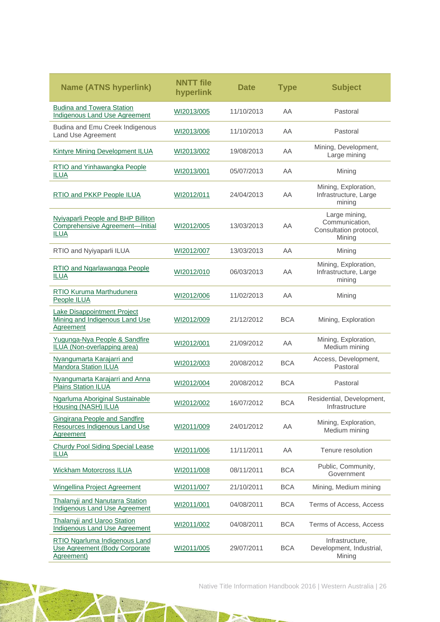| <b>Name (ATNS hyperlink)</b>                                                                | <b>NNTT</b> file<br>hyperlink | <b>Date</b> | <b>Type</b> | <b>Subject</b>                                                      |
|---------------------------------------------------------------------------------------------|-------------------------------|-------------|-------------|---------------------------------------------------------------------|
| <b>Budina and Towera Station</b><br>Indigenous Land Use Agreement                           | WI2013/005                    | 11/10/2013  | AΑ          | Pastoral                                                            |
| Budina and Emu Creek Indigenous<br>Land Use Agreement                                       | WI2013/006                    | 11/10/2013  | ΑA          | Pastoral                                                            |
| <b>Kintyre Mining Development ILUA</b>                                                      | WI2013/002                    | 19/08/2013  | AΑ          | Mining, Development,<br>Large mining                                |
| RTIO and Yinhawangka People<br><b>ILUA</b>                                                  | WI2013/001                    | 05/07/2013  | ΑA          | Mining                                                              |
| <b>RTIO and PKKP People ILUA</b>                                                            | WI2012/011                    | 24/04/2013  | AΑ          | Mining, Exploration,<br>Infrastructure, Large<br>mining             |
| Nyiyaparli People and BHP Billiton<br><b>Comprehensive Agreement-Initial</b><br><b>ILUA</b> | WI2012/005                    | 13/03/2013  | AΑ          | Large mining,<br>Communication,<br>Consultation protocol,<br>Mining |
| RTIO and Nyiyaparli ILUA                                                                    | WI2012/007                    | 13/03/2013  | AA          | Mining                                                              |
| RTIO and Ngarlawangga People<br><b>ILUA</b>                                                 | WI2012/010                    | 06/03/2013  | ΑA          | Mining, Exploration,<br>Infrastructure, Large<br>mining             |
| <b>RTIO Kuruma Marthudunera</b><br>People ILUA                                              | WI2012/006                    | 11/02/2013  | AA          | Mining                                                              |
| <b>Lake Disappointment Project</b><br>Mining and Indigenous Land Use<br><b>Agreement</b>    | WI2012/009                    | 21/12/2012  | <b>BCA</b>  | Mining, Exploration                                                 |
| Yugunga-Nya People & Sandfire<br>ILUA (Non-overlapping area)                                | WI2012/001                    | 21/09/2012  | AA          | Mining, Exploration,<br>Medium mining                               |
| Nyangumarta Karajarri and<br><b>Mandora Station ILUA</b>                                    | WI2012/003                    | 20/08/2012  | <b>BCA</b>  | Access, Development,<br>Pastoral                                    |
| Nyangumarta Karajarri and Anna<br><b>Plains Station ILUA</b>                                | WI2012/004                    | 20/08/2012  | <b>BCA</b>  | Pastoral                                                            |
| <b>Ngarluma Aboriginal Sustainable</b><br><b>Housing (NASH) ILUA</b>                        | WI2012/002                    | 16/07/2012  | <b>BCA</b>  | Residential, Development,<br>Infrastructure                         |
| <b>Gingirana People and Sandfire</b><br>Resources Indigenous Land Use<br>Aareement          | WI2011/009                    | 24/01/2012  | AA          | Mining, Exploration,<br>Medium mining                               |
| <b>Churdy Pool Siding Special Lease</b><br><b>ILUA</b>                                      | WI2011/006                    | 11/11/2011  | AA          | Tenure resolution                                                   |
| <b>Wickham Motorcross ILUA</b>                                                              | WI2011/008                    | 08/11/2011  | <b>BCA</b>  | Public, Community,<br>Government                                    |
| Wingellina Project Agreement                                                                | WI2011/007                    | 21/10/2011  | <b>BCA</b>  | Mining, Medium mining                                               |
| <b>Thalanvii and Nanutarra Station</b><br>Indigenous Land Use Agreement                     | WI2011/001                    | 04/08/2011  | <b>BCA</b>  | Terms of Access, Access                                             |
| <b>Thalanyji and Uaroo Station</b><br><b>Indigenous Land Use Agreement</b>                  | WI2011/002                    | 04/08/2011  | <b>BCA</b>  | Terms of Access, Access                                             |
| RTIO Ngarluma Indigenous Land<br>Use Agreement (Body Corporate<br>Agreement)                | WI2011/005                    | 29/07/2011  | <b>BCA</b>  | Infrastructure,<br>Development, Industrial,<br>Mining               |

TATE

TN.

 $\tau_{\rm ext}$ 

Native Title Information Handbook 2016 | Western Australia | 26

o To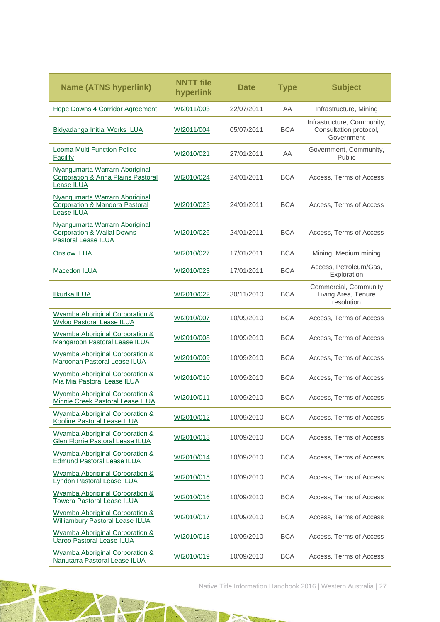| <b>Name (ATNS hyperlink)</b>                                                                         | <b>NNTT</b> file<br>hyperlink | <b>Date</b> | <b>Type</b> | <b>Subject</b>                                                     |
|------------------------------------------------------------------------------------------------------|-------------------------------|-------------|-------------|--------------------------------------------------------------------|
| Hope Downs 4 Corridor Agreement                                                                      | WI2011/003                    | 22/07/2011  | AA          | Infrastructure, Mining                                             |
| <b>Bidyadanga Initial Works ILUA</b>                                                                 | WI2011/004                    | 05/07/2011  | <b>BCA</b>  | Infrastructure, Community,<br>Consultation protocol,<br>Government |
| Looma Multi Function Police<br>Facility                                                              | WI2010/021                    | 27/01/2011  | AA          | Government, Community,<br><b>Public</b>                            |
| Nyangumarta Warrarn Aboriginal<br><b>Corporation &amp; Anna Plains Pastoral</b><br><b>Lease ILUA</b> | WI2010/024                    | 24/01/2011  | <b>BCA</b>  | Access, Terms of Access                                            |
| Nyangumarta Warrarn Aboriginal<br>Corporation & Mandora Pastoral<br>Lease ILUA                       | WI2010/025                    | 24/01/2011  | <b>BCA</b>  | Access, Terms of Access                                            |
| Nyangumarta Warrarn Aboriginal<br><b>Corporation &amp; Wallal Downs</b><br>Pastoral Lease ILUA       | WI2010/026                    | 24/01/2011  | <b>BCA</b>  | Access, Terms of Access                                            |
| <b>Onslow ILUA</b>                                                                                   | WI2010/027                    | 17/01/2011  | <b>BCA</b>  | Mining, Medium mining                                              |
| Macedon ILUA                                                                                         | WI2010/023                    | 17/01/2011  | <b>BCA</b>  | Access, Petroleum/Gas,<br>Exploration                              |
| <b>Ilkurika ILUA</b>                                                                                 | WI2010/022                    | 30/11/2010  | <b>BCA</b>  | Commercial, Community<br>Living Area, Tenure<br>resolution         |
| <b>Wyamba Aboriginal Corporation &amp;</b><br><b>Wyloo Pastoral Lease ILUA</b>                       | WI2010/007                    | 10/09/2010  | <b>BCA</b>  | Access, Terms of Access                                            |
| <b>Wyamba Aboriginal Corporation &amp;</b><br>Mangaroon Pastoral Lease ILUA                          | WI2010/008                    | 10/09/2010  | <b>BCA</b>  | Access, Terms of Access                                            |
| Wyamba Aboriginal Corporation &<br>Maroonah Pastoral Lease ILUA                                      | WI2010/009                    | 10/09/2010  | <b>BCA</b>  | Access, Terms of Access                                            |
| <b>Wyamba Aboriginal Corporation &amp;</b><br>Mia Mia Pastoral Lease ILUA                            | WI2010/010                    | 10/09/2010  | <b>BCA</b>  | Access, Terms of Access                                            |
| Wyamba Aboriginal Corporation &<br>Minnie Creek Pastoral Lease ILUA                                  | WI2010/011                    | 10/09/2010  | <b>BCA</b>  | Access, Terms of Access                                            |
| Wyamba Aboriginal Corporation &<br>Kooline Pastoral Lease ILUA                                       | WI2010/012                    | 10/09/2010  | <b>BCA</b>  | Access, Terms of Access                                            |
| <b>Wyamba Aboriginal Corporation &amp;</b><br>Glen Florrie Pastoral Lease ILUA                       | WI2010/013                    | 10/09/2010  | <b>BCA</b>  | Access, Terms of Access                                            |
| Wyamba Aboriginal Corporation &<br><b>Edmund Pastoral Lease ILUA</b>                                 | WI2010/014                    | 10/09/2010  | <b>BCA</b>  | Access, Terms of Access                                            |
| Wyamba Aboriginal Corporation &<br>Lyndon Pastoral Lease ILUA                                        | WI2010/015                    | 10/09/2010  | <b>BCA</b>  | Access, Terms of Access                                            |
| Wyamba Aboriginal Corporation &<br><b>Towera Pastoral Lease ILUA</b>                                 | WI2010/016                    | 10/09/2010  | <b>BCA</b>  | Access, Terms of Access                                            |
| Wyamba Aboriginal Corporation &<br><b>Williambury Pastoral Lease ILUA</b>                            | WI2010/017                    | 10/09/2010  | <b>BCA</b>  | Access, Terms of Access                                            |
| Wyamba Aboriginal Corporation &<br><b>Uaroo Pastoral Lease ILUA</b>                                  | WI2010/018                    | 10/09/2010  | <b>BCA</b>  | Access, Terms of Access                                            |
| Wyamba Aboriginal Corporation &<br>Nanutarra Pastoral Lease ILUA                                     | WI2010/019                    | 10/09/2010  | <b>BCA</b>  | Access, Terms of Access                                            |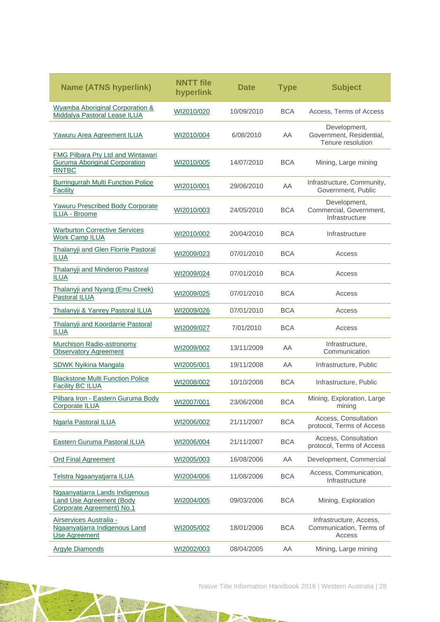| <b>Name (ATNS hyperlink)</b>                                                                   | <b>NNTT</b> file<br>hyperlink | <b>Date</b> | <b>Type</b> | <b>Subject</b>                                                |
|------------------------------------------------------------------------------------------------|-------------------------------|-------------|-------------|---------------------------------------------------------------|
| <b>Wyamba Aboriginal Corporation &amp;</b><br>Middalya Pastoral Lease ILUA                     | WI2010/020                    | 10/09/2010  | <b>BCA</b>  | Access, Terms of Access                                       |
| Yawuru Area Agreement ILUA                                                                     | WI2010/004                    | 6/08/2010   | AA          | Development,<br>Government, Residential,<br>Tenure resolution |
| FMG Pilbara Pty Ltd and Wintawari<br><b>Guruma Aboriginal Corporation</b><br><b>RNTBC</b>      | WI2010/005                    | 14/07/2010  | <b>BCA</b>  | Mining, Large mining                                          |
| <b>Burringurrah Multi Function Police</b><br>Facility                                          | WI2010/001                    | 29/06/2010  | AA          | Infrastructure, Community,<br>Government, Public              |
| <b>Yawuru Prescribed Body Corporate</b><br><b>ILUA - Broome</b>                                | WI2010/003                    | 24/05/2010  | <b>BCA</b>  | Development,<br>Commercial, Government,<br>Infrastructure     |
| <b>Warburton Corrective Services</b><br><b>Work Camp ILUA</b>                                  | WI2010/002                    | 20/04/2010  | <b>BCA</b>  | Infrastructure                                                |
| Thalanyji and Glen Florrie Pastoral<br><b>ILUA</b>                                             | WI2009/023                    | 07/01/2010  | BCA         | Access                                                        |
| Thalanyji and Minderoo Pastoral<br><b>ILUA</b>                                                 | WI2009/024                    | 07/01/2010  | <b>BCA</b>  | Access                                                        |
| Thalanyji and Nyang (Emu Creek)<br>Pastoral ILUA                                               | WI2009/025                    | 07/01/2010  | <b>BCA</b>  | Access                                                        |
| Thalanyji & Yanrey Pastoral ILUA                                                               | WI2009/026                    | 07/01/2010  | <b>BCA</b>  | Access                                                        |
| Thalanyji and Koordarrie Pastoral<br><b>ILUA</b>                                               | WI2009/027                    | 7/01/2010   | <b>BCA</b>  | Access                                                        |
| Murchison Radio-astronomy<br><b>Observatory Agreement</b>                                      | WI2009/002                    | 13/11/2009  | AA          | Infrastructure,<br>Communication                              |
| <b>SDWK Nyikina Mangala</b>                                                                    | WI2005/001                    | 19/11/2008  | AA          | Infrastructure, Public                                        |
| <b>Blackstone Multi Function Police</b><br><b>Facility BC ILUA</b>                             | WI2008/002                    | 10/10/2008  | <b>BCA</b>  | Infrastructure, Public                                        |
| Pilbara Iron - Eastern Guruma Body<br>Corporate ILUA                                           | WI2007/001                    | 23/06/2008  | <b>BCA</b>  | Mining, Exploration, Large<br>mining                          |
| <b>Ngarla Pastoral ILUA</b>                                                                    | WI2006/002                    | 21/11/2007  | <b>BCA</b>  | Access, Consultation<br>protocol, Terms of Access             |
| Eastern Guruma Pastoral ILUA                                                                   | WI2006/004                    | 21/11/2007  | <b>BCA</b>  | Access. Consultation<br>protocol, Terms of Access             |
| <b>Ord Final Agreement</b>                                                                     | WI2005/003                    | 16/08/2006  | AA          | Development, Commercial                                       |
| Telstra Ngaanyatjarra ILUA                                                                     | WI2004/006                    | 11/08/2006  | <b>BCA</b>  | Access, Communication,<br>Infrastructure                      |
| Ngaanyatjarra Lands Indigenous<br><b>Land Use Agreement (Body</b><br>Corporate Agreement) No.1 | WI2004/005                    | 09/03/2006  | <b>BCA</b>  | Mining, Exploration                                           |
| Airservices Australia -<br>Ngaanyatjarra Indigenous Land<br><b>Use Agreement</b>               | WI2005/002                    | 18/01/2006  | <b>BCA</b>  | Infrastructure, Access,<br>Communication, Terms of<br>Access  |
| <b>Argyle Diamonds</b>                                                                         | WI2002/003                    | 08/04/2005  | AA          | Mining, Large mining                                          |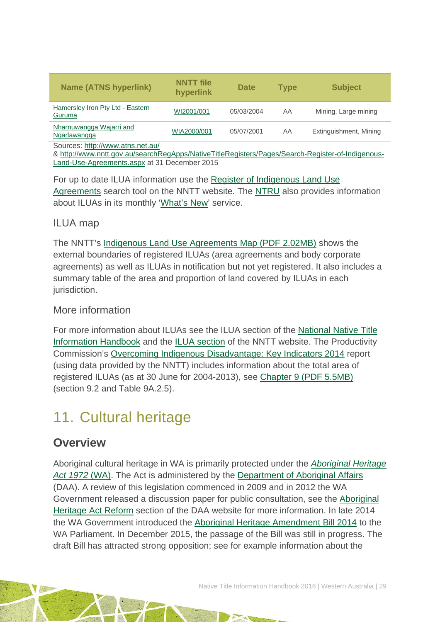| <b>Name (ATNS hyperlink)</b>                                                                                                         | <b>NNTT</b> file<br>hyperlink | <b>Date</b> | <b>Type</b> | <b>Subject</b>         |  |  |  |
|--------------------------------------------------------------------------------------------------------------------------------------|-------------------------------|-------------|-------------|------------------------|--|--|--|
| Hamersley Iron Pty Ltd - Eastern<br>Guruma                                                                                           | WI2001/001                    | 05/03/2004  | AA          | Mining, Large mining   |  |  |  |
| Nharnuwangga Wajarri and<br>Ngarlawangga                                                                                             | WIA2000/001                   | 05/07/2001  | AA          | Extinguishment, Mining |  |  |  |
| Sources: http://www.atns.net.au/<br>& http://www.nntt.gov.au/searchRegApps/NativeTitleRegisters/Pages/Search-Register-of-Indigenous- |                               |             |             |                        |  |  |  |

[Land-Use-Agreements.aspx](http://www.nntt.gov.au/searchRegApps/NativeTitleRegisters/Pages/Search-Register-of-Indigenous-Land-Use-Agreements.aspx) at 31 December 2015

For up to date ILUA information use the [Register of Indigenous Land Use](http://www.nntt.gov.au/searchRegApps/NativeTitleRegisters/Pages/Search-Register-of-Indigenous-Land-Use-Agreements.aspx)  [Agreements](http://www.nntt.gov.au/searchRegApps/NativeTitleRegisters/Pages/Search-Register-of-Indigenous-Land-Use-Agreements.aspx) search tool on the NNTT website. The [NTRU](http://aiatsis.gov.au/research/research-themes/native-title) also provides information about ILUAs in its monthly ['What's New'](http://aiatsis.gov.au/research/research-themes/native-title/publications/whats-new) service.

### ILUA map

The NNTT's [Indigenous Land Use Agreements Map \(PDF 2.02MB\)](http://www.nntt.gov.au/Maps/ILUAs_map.pdf) shows the external boundaries of registered ILUAs (area agreements and body corporate agreements) as well as ILUAs in notification but not yet registered. It also includes a summary table of the area and proportion of land covered by ILUAs in each jurisdiction.

### More information

For more information about ILUAs see the ILUA section of the [National Native Title](http://aiatsis.gov.au/publications/products/native-title-information-handbooks)  [Information Handbook](http://aiatsis.gov.au/publications/products/native-title-information-handbooks) and the [ILUA section](http://www.nntt.gov.au/ILUAs/Pages/default.aspx) of the NNTT website. The Productivity Commission's [Overcoming Indigenous Disadvantage: Key Indicators 2014](http://www.pc.gov.au/research/recurring/overcoming-indigenous-disadvantage/key-indicators-2014) report (using data provided by the NNTT) includes information about the total area of registered ILUAs (as at 30 June for 2004-2013), see [Chapter 9 \(PDF](http://www.pc.gov.au/research/recurring/overcoming-indigenous-disadvantage/key-indicators-2014/09-key-indicators-2014-chapter9.pdf) 5.5MB) (section 9.2 and Table 9A.2.5).

# <span id="page-29-0"></span>11. Cultural heritage

## **Overview**

Aboriginal cultural heritage in WA is primarily protected under the *[Aboriginal Heritage](http://www.austlii.edu.au/au/legis/wa/consol_act/aha1972164/)  [Act 1972](http://www.austlii.edu.au/au/legis/wa/consol_act/aha1972164/)* (WA). The Act is administered by the [Department of Aboriginal Affairs](http://www.daa.wa.gov.au/) (DAA). A review of this legislation commenced in 2009 and in 2012 the WA Government released a discussion paper for public consultation, see the [Aboriginal](http://www.daa.wa.gov.au/heritage/aha-review/)  [Heritage Act Reform](http://www.daa.wa.gov.au/heritage/aha-review/) section of the DAA website for more information. In late 2014 the WA Government introduced the [Aboriginal Heritage Amendment Bill 2014](http://www.parliament.wa.gov.au/Parliament/Bills.nsf/E863020A2E318B6A48257D9D000BC478/$File/Bill%2B81-1.pdf) to the WA Parliament. In December 2015, the passage of the Bill was still in progress. The draft Bill has attracted strong opposition; see for example information about the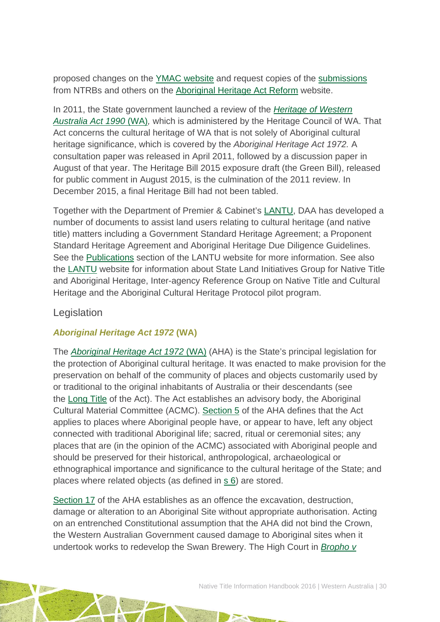proposed changes on the [YMAC website](http://ymac.org.au/media-and-publications/submissions/) and request copies of the [submissions](http://www.daa.wa.gov.au/heritage/aha-review/consultation/) from NTRBs and others on the [Aboriginal Heritage Act Reform](http://www.daa.wa.gov.au/heritage/aha-review) website.

In 2011, the State government launched a review of the *[Heritage of Western](http://www.austlii.edu.au/au/legis/wa/consol_act/howaa1990295/)  [Australia Act 1990](http://www.austlii.edu.au/au/legis/wa/consol_act/howaa1990295/)* (WA)*,* which is administered by the Heritage Council of WA. That Act concerns the cultural heritage of WA that is not solely of Aboriginal cultural heritage significance, which is covered by the *Aboriginal Heritage Act 1972.* A consultation paper was released in April 2011, followed by a discussion paper in August of that year. The Heritage Bill 2015 exposure draft (the Green Bill), released for public comment in August 2015, is the culmination of the 2011 review. In December 2015, a final Heritage Bill had not been tabled.

Together with the Department of Premier & Cabinet's [LANTU,](https://www.dpc.wa.gov.au/lantu/Pages/Default.aspx) DAA has developed a number of documents to assist land users relating to cultural heritage (and native title) matters including a Government Standard Heritage Agreement; a Proponent Standard Heritage Agreement and Aboriginal Heritage Due Diligence Guidelines. See the [Publications](http://www.dpc.wa.gov.au/lantu/MediaPublications/Pages/Publications.aspx) section of the LANTU website for more information. See also the [LANTU](http://www.dpc.wa.gov.au/lantu/WholeOfGovernment/Pages/Default.aspx) website for information about State Land Initiatives Group for Native Title and Aboriginal Heritage, Inter-agency Reference Group on Native Title and Cultural Heritage and the Aboriginal Cultural Heritage Protocol pilot program.

### Legislation

### *Aboriginal Heritage Act 1972* **(WA)**

The *[Aboriginal Heritage Act 1972](http://www.austlii.edu.au/au/legis/wa/consol_act/aha1972164/)* (WA) (AHA) is the State's principal legislation for the protection of Aboriginal cultural heritage. It was enacted to make provision for the preservation on behalf of the community of places and objects customarily used by or traditional to the original inhabitants of Australia or their descendants (see the [Long Title](http://www.austlii.edu.au/au/legis/wa/consol_act/aha1972164/longtitle.html) of the Act). The Act establishes an advisory body, the Aboriginal Cultural Material Committee (ACMC). [Section 5](http://www5.austlii.edu.au/au/legis/wa/consol_act/aha1972164/s5.html) of the AHA defines that the Act applies to places where Aboriginal people have, or appear to have, left any object connected with traditional Aboriginal life; sacred, ritual or ceremonial sites; any places that are (in the opinion of the ACMC) associated with Aboriginal people and should be preserved for their historical, anthropological, archaeological or ethnographical importance and significance to the cultural heritage of the State; and places where related objects (as defined in s [6\)](http://www5.austlii.edu.au/au/legis/wa/consol_act/aha1972164/s6.html) are stored.

[Section 17](http://www.austlii.edu.au/au/legis/wa/consol_act/aha1972164/s17.html) of the AHA establishes as an offence the excavation, destruction, damage or alteration to an Aboriginal Site without appropriate authorisation. Acting on an entrenched Constitutional assumption that the AHA did not bind the Crown, the Western Australian Government caused damage to Aboriginal sites when it undertook works to redevelop the Swan Brewery. The High Court in *[Bropho v](http://www.austlii.edu.au/au/cases/cth/HCA/1990/24.html)*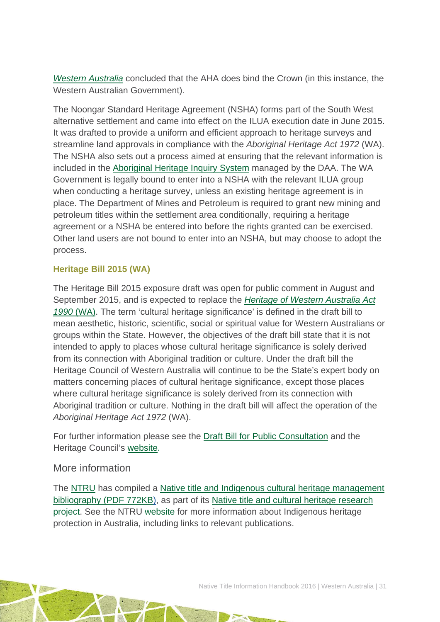*[Western Australia](http://www.austlii.edu.au/au/cases/cth/HCA/1990/24.html)* concluded that the AHA does bind the Crown (in this instance, the Western Australian Government).

The Noongar Standard Heritage Agreement (NSHA) forms part of the South West alternative settlement and came into effect on the ILUA execution date in June 2015. It was drafted to provide a uniform and efficient approach to heritage surveys and streamline land approvals in compliance with the *Aboriginal Heritage Act 1972* (WA). The NSHA also sets out a process aimed at ensuring that the relevant information is included in the [Aboriginal Heritage Inquiry System](http://www.daa.wa.gov.au/heritage/place-search/) managed by the DAA. The WA Government is legally bound to enter into a NSHA with the relevant ILUA group when conducting a heritage survey, unless an existing heritage agreement is in place. The Department of Mines and Petroleum is required to grant new mining and petroleum titles within the settlement area conditionally, requiring a heritage agreement or a NSHA be entered into before the rights granted can be exercised. Other land users are not bound to enter into an NSHA, but may choose to adopt the process.

#### **Heritage Bill 2015 (WA)**

The Heritage Bill 2015 exposure draft was open for public comment in August and September 2015, and is expected to replace the *[Heritage of Western Australia Act](http://www.austlii.edu.au/au/legis/wa/consol_act/howaa1990295/)  1990* [\(WA\).](http://www.austlii.edu.au/au/legis/wa/consol_act/howaa1990295/) The term 'cultural heritage significance' is defined in the draft bill to mean aesthetic, historic, scientific, social or spiritual value for Western Australians or groups within the State. However, the objectives of the draft bill state that it is not intended to apply to places whose cultural heritage significance is solely derived from its connection with Aboriginal tradition or culture. Under the draft bill the Heritage Council of Western Australia will continue to be the State's expert body on matters concerning places of cultural heritage significance, except those places where cultural heritage significance is solely derived from its connection with Aboriginal tradition or culture. Nothing in the draft bill will affect the operation of the *Aboriginal Heritage Act 1972* (WA).

For further information please see the [Draft Bill for Public Consultation](http://www.parliament.wa.gov.au/Parliament/Bills.nsf/F7FA00508E83987048257E9F0009B474/$File/GB145-1.pdf) and the Heritage Council's [website.](http://www.stateheritage.wa.gov.au/about-us/acts-policies/heritage-green-bill-2015)

### More information

The [NTRU](http://aiatsis.gov.au/research/research-themes/native-title) has compiled a [Native title and Indigenous cultural heritage management](http://aiatsis.gov.au/publications/products/native-title-and-indigenous-cultural-heritage-management-bibliography)  [bibliography \(PDF 772KB\),](http://aiatsis.gov.au/publications/products/native-title-and-indigenous-cultural-heritage-management-bibliography) as part of its [Native title and cultural heritage research](http://aiatsis.gov.au/research-and-guides/native-title-and-cultural-heritage)  [project.](http://aiatsis.gov.au/research-and-guides/native-title-and-cultural-heritage) See the NTRU [website](http://aiatsis.gov.au/research/research-themes/native-title) for more information about Indigenous heritage protection in Australia, including links to relevant publications.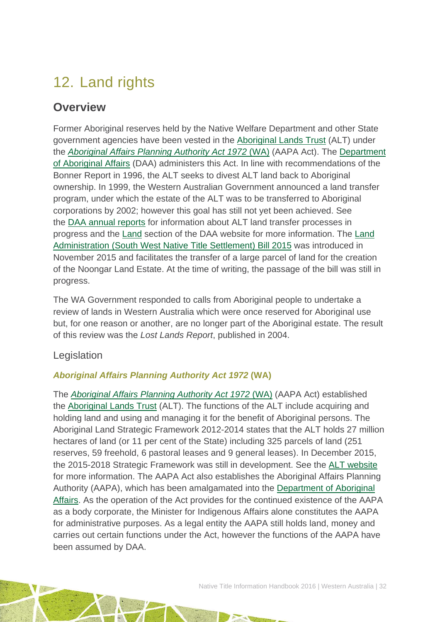# <span id="page-32-0"></span>12. Land rights

## **Overview**

Former Aboriginal reserves held by the Native Welfare Department and other State government agencies have been vested in the [Aboriginal Lands Trust](http://www.daa.wa.gov.au/en/About-DAA/Boards-And-Committees/ALT/) (ALT) under the *[Aboriginal Affairs Planning Authority Act 1972](http://www.austlii.edu.au/au/legis/wa/consol_act/aapaa1972359)* (WA) (AAPA Act). The [Department](http://www.daa.wa.gov.au/)  [of Aboriginal Affairs](http://www.daa.wa.gov.au/) (DAA) administers this Act. In line with recommendations of the Bonner Report in 1996, the ALT seeks to divest ALT land back to Aboriginal ownership. In 1999, the Western Australian Government announced a land transfer program, under which the estate of the ALT was to be transferred to Aboriginal corporations by 2002; however this goal has still not yet been achieved. See the [DAA annual reports](http://www.daa.wa.gov.au/about-the-department/publications/?epieditmode=true) for information about ALT land transfer processes in progress and the [Land](http://www.daa.wa.gov.au/en/Land/) section of the DAA website for more information. The [Land](http://www.parliament.wa.gov.au/Parliament/Bills.nsf/2FE6FDAAF839A10448257F07003CEF4F/$File/Bill168-1.pdf)  [Administration \(South West Native Title Settlement\) Bill 2015](http://www.parliament.wa.gov.au/Parliament/Bills.nsf/2FE6FDAAF839A10448257F07003CEF4F/$File/Bill168-1.pdf) was introduced in November 2015 and facilitates the transfer of a large parcel of land for the creation of the Noongar Land Estate. At the time of writing, the passage of the bill was still in progress.

The WA Government responded to calls from Aboriginal people to undertake a review of lands in Western Australia which were once reserved for Aboriginal use but, for one reason or another, are no longer part of the Aboriginal estate. The result of this review was the *Lost Lands Report*, published in 2004.

### Legislation

### *Aboriginal Affairs Planning Authority Act 1972* **(WA)**

The *[Aboriginal Affairs Planning Authority Act 1972](http://www.austlii.edu.au/au/legis/wa/consol_act/aapaa1972359)* (WA) (AAPA Act) established the [Aboriginal Lands Trust](http://www.daa.wa.gov.au/en/About-DAA/Boards-And-Committees/ALT/) (ALT). The functions of the ALT include acquiring and holding land and using and managing it for the benefit of Aboriginal persons. The Aboriginal Land Strategic Framework 2012-2014 states that the ALT holds 27 million hectares of land (or 11 per cent of the State) including 325 parcels of land (251 reserves, 59 freehold, 6 pastoral leases and 9 general leases). In December 2015, the 2015-2018 Strategic Framework was still in development. See the [ALT website](http://www.daa.wa.gov.au/en/About-DAA/Boards-And-Committees/ALT/) for more information. The AAPA Act also establishes the Aboriginal Affairs Planning Authority (AAPA), which has been amalgamated into the [Department of Aboriginal](http://www.daa.wa.gov.au/)  [Affairs.](http://www.daa.wa.gov.au/) As the operation of the Act provides for the continued existence of the AAPA as a body corporate, the Minister for Indigenous Affairs alone constitutes the AAPA for administrative purposes. As a legal entity the AAPA still holds land, money and carries out certain functions under the Act, however the functions of the AAPA have been assumed by DAA.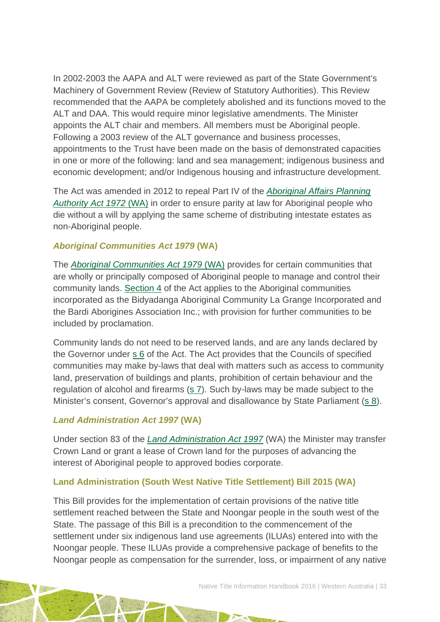In 2002-2003 the AAPA and ALT were reviewed as part of the State Government's Machinery of Government Review (Review of Statutory Authorities). This Review recommended that the AAPA be completely abolished and its functions moved to the ALT and DAA. This would require minor legislative amendments. The Minister appoints the ALT chair and members. All members must be Aboriginal people. Following a 2003 review of the ALT governance and business processes, appointments to the Trust have been made on the basis of demonstrated capacities in one or more of the following: land and sea management; indigenous business and economic development; and/or Indigenous housing and infrastructure development.

The Act was amended in 2012 to repeal Part IV of the *[Aboriginal Affairs Planning](http://www.austlii.edu.au/au/legis/wa/consol_act/aapaa1972359/)  [Authority Act 1972](http://www.austlii.edu.au/au/legis/wa/consol_act/aapaa1972359/)* (WA) in order to ensure parity at law for Aboriginal people who die without a will by applying the same scheme of distributing intestate estates as non-Aboriginal people.

#### *Aboriginal Communities Act 1979* **(WA)**

The *[Aboriginal Communities Act 1979](http://www.austlii.edu.au/au/legis/wa/consol_act/aca1979229/)* (WA) provides for certain communities that are wholly or principally composed of Aboriginal people to manage and control their community lands. [Section 4](http://www.austlii.edu.au/au/legis/wa/consol_act/aca1979229/s4.html) of the Act applies to the Aboriginal communities incorporated as the Bidyadanga Aboriginal Community La Grange Incorporated and the Bardi Aborigines Association Inc.; with provision for further communities to be included by proclamation.

Community lands do not need to be reserved lands, and are any lands declared by the Governor under [s](http://www.austlii.edu.au/au/legis/wa/consol_act/aca1979229/s6.html) 6 of the Act. The Act provides that the Councils of specified communities may make by-laws that deal with matters such as access to community land, preservation of buildings and plants, prohibition of certain behaviour and the regulation of alcohol and firearms [\(s 7\)](http://www.austlii.edu.au/au/legis/wa/consol_act/aca1979229/s7.html). Such by-laws may be made subject to the Minister's consent, Governor's approval and disallowance by State Parliament [\(s 8\)](http://www.austlii.edu.au/au/legis/wa/consol_act/aca1979229/s8.html).

#### *Land Administration Act 1997* **(WA)**

Under section 83 of the *[Land Administration Act 1997](http://www5.austlii.edu.au/au/legis/wa/consol_act/laa1997200/)* (WA) the Minister may transfer Crown Land or grant a lease of Crown land for the purposes of advancing the interest of Aboriginal people to approved bodies corporate.

#### **Land Administration (South West Native Title Settlement) Bill 2015 (WA)**

This Bill provides for the implementation of certain provisions of the native title settlement reached between the State and Noongar people in the south west of the State. The passage of this Bill is a precondition to the commencement of the settlement under six indigenous land use agreements (ILUAs) entered into with the Noongar people. These ILUAs provide a comprehensive package of benefits to the Noongar people as compensation for the surrender, loss, or impairment of any native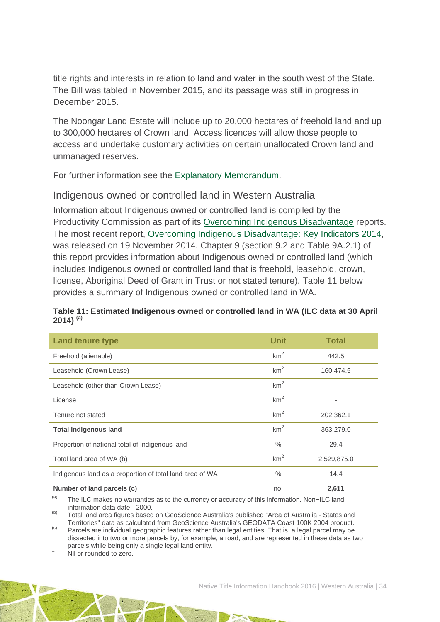title rights and interests in relation to land and water in the south west of the State. The Bill was tabled in November 2015, and its passage was still in progress in December 2015.

The Noongar Land Estate will include up to 20,000 hectares of freehold land and up to 300,000 hectares of Crown land. Access licences will allow those people to access and undertake customary activities on certain unallocated Crown land and unmanaged reserves.

For further information see the [Explanatory Memorandum.](http://www.parliament.wa.gov.au/Parliament/Bills.nsf/2FE6FDAAF839A10448257F07003CEF4F/$File/EM%2B168-1.pdf)

### Indigenous owned or controlled land in Western Australia

Information about Indigenous owned or controlled land is compiled by the Productivity Commission as part of its [Overcoming Indigenous Disadvantage](http://www.pc.gov.au/research/recurring/overcoming-indigenous-disadvantage) reports. The most recent report, [Overcoming Indigenous Disadvantage: Key Indicators 2014,](http://www.pc.gov.au/research/recurring/overcoming-indigenous-disadvantage/key-indicators-2014) was released on 19 November 2014. Chapter 9 (section 9.2 and Table 9A.2.1) of this report provides information about Indigenous owned or controlled land (which includes Indigenous owned or controlled land that is freehold, leasehold, crown, license, Aboriginal Deed of Grant in Trust or not stated tenure). Table 11 below provides a summary of Indigenous owned or controlled land in WA.

#### **Table 11: Estimated Indigenous owned or controlled land in WA (ILC data at 30 April 2014) (a)**

| <b>Land tenure type</b>                                  | Unit            | <b>Total</b>             |
|----------------------------------------------------------|-----------------|--------------------------|
| Freehold (alienable)                                     | km <sup>2</sup> | 442.5                    |
| Leasehold (Crown Lease)                                  | km <sup>2</sup> | 160,474.5                |
| Leasehold (other than Crown Lease)                       | km <sup>2</sup> |                          |
| License                                                  | km <sup>2</sup> | $\overline{\phantom{a}}$ |
| Tenure not stated                                        | km <sup>2</sup> | 202,362.1                |
| <b>Total Indigenous land</b>                             | km <sup>2</sup> | 363,279.0                |
| Proportion of national total of Indigenous land          | $\%$            | 29.4                     |
| Total land area of WA (b)                                | km <sup>2</sup> | 2,529,875.0              |
| Indigenous land as a proportion of total land area of WA | $\frac{0}{0}$   | 14.4                     |
| Number of land parcels (c)                               | no.             | 2,611                    |

 $(a)$  The ILC makes no warranties as to the currency or accuracy of this information. Non-ILC land information data date - 2000.

(b) Total land area figures based on GeoScience Australia's published "Area of Australia - States and<br>Territories" data as calculated from GeoScience Australia's GEODATA Coast 100K 2004 product.

Territories and as calculated from Geodescience Australian Computer Australia Computer Australia Computer Product. Product. (c) Parcels are individual geographic features rather than legal entities. That is, a legal parcel dissected into two or more parcels by, for example, a road, and are represented in these data as two parcels while being only a single legal land entity.<br>Nil or rounded to zero.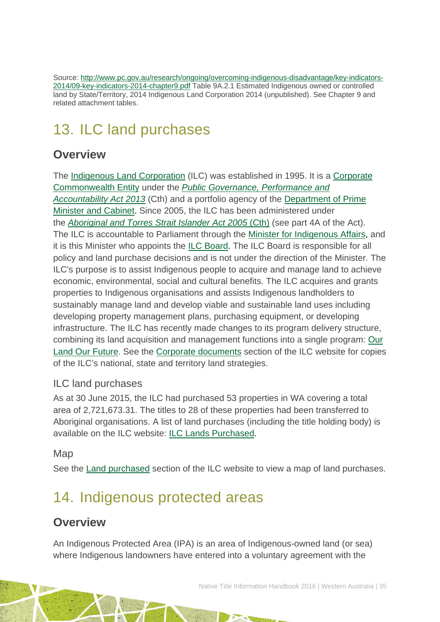Source: [http://www.pc.gov.au/research/ongoing/overcoming-indigenous-disadvantage/key-indicators-](http://www.pc.gov.au/research/ongoing/overcoming-indigenous-disadvantage/key-indicators-2014/09-key-indicators-2014-chapter9.pdf)[2014/09-key-indicators-2014-chapter9.pdf](http://www.pc.gov.au/research/ongoing/overcoming-indigenous-disadvantage/key-indicators-2014/09-key-indicators-2014-chapter9.pdf) Table 9A.2.1 Estimated Indigenous owned or controlled land by State/Territory, 2014 Indigenous Land Corporation 2014 (unpublished). See Chapter 9 and related attachment tables.

# <span id="page-35-0"></span>13. ILC land purchases

## **Overview**

The [Indigenous Land Corporation](http://www.ilc.gov.au/Home) (ILC) was established in 1995. It is a [Corporate](http://www.finance.gov.au/resource-management/introduction/glossary/#c)  [Commonwealth Entity](http://www.finance.gov.au/resource-management/introduction/glossary/#c) under the *[Public Governance, Performance and](http://www.austlii.edu.au/au/legis/cth/consol_act/pgpaaa2013432/)  [Accountability Act 2013](http://www.austlii.edu.au/au/legis/cth/consol_act/pgpaaa2013432/)* (Cth) and a portfolio agency of the [Department of Prime](https://www.dpmc.gov.au/)  [Minister and Cabinet.](https://www.dpmc.gov.au/) Since 2005, the ILC has been administered under the *[Aboriginal and Torres Strait Islander Act 2005](http://www.austlii.edu.au/au/legis/cth/consol_act/aatsia2005359/)* (Cth) (see part 4A of the Act). The ILC is accountable to Parliament through the [Minister for Indigenous Affairs,](http://minister.indigenous.gov.au/) and it is this Minister who appoints the [ILC Board.](http://www.ilc.gov.au/Home/About-Us/ILC-Board) The ILC Board is responsible for all policy and land purchase decisions and is not under the direction of the Minister. The ILC's purpose is to assist Indigenous people to acquire and manage land to achieve economic, environmental, social and cultural benefits. The ILC acquires and grants properties to Indigenous organisations and assists Indigenous landholders to sustainably manage land and develop viable and sustainable land uses including developing property management plans, purchasing equipment, or developing infrastructure. The ILC has recently made changes to its program delivery structure, combining its land acquisition and management functions into a single program: [Our](http://www.ilc.gov.au/Home/Our-Land-Program)  [Land Our Future.](http://www.ilc.gov.au/Home/Our-Land-Program) See the [Corporate documents](http://www.ilc.gov.au/Home/Publications/Corporate-Documents) section of the ILC website for copies of the ILC's national, state and territory land strategies.

## ILC land purchases

As at 30 June 2015, the ILC had purchased 53 properties in WA covering a total area of 2,721,673.31. The titles to 28 of these properties had been transferred to Aboriginal organisations. A list of land purchases (including the title holding body) is available on the ILC website: [ILC Lands Purchased.](http://www.ilc.gov.au/Home/Land-Purchased/Land-Purchased-All-States)

### Map

See the [Land purchased](http://www.ilc.gov.au/Home/Land-Purchased) section of the ILC website to view a map of land purchases.

# <span id="page-35-1"></span>14. Indigenous protected areas

## **Overview**

An Indigenous Protected Area (IPA) is an area of Indigenous-owned land (or sea) where Indigenous landowners have entered into a voluntary agreement with the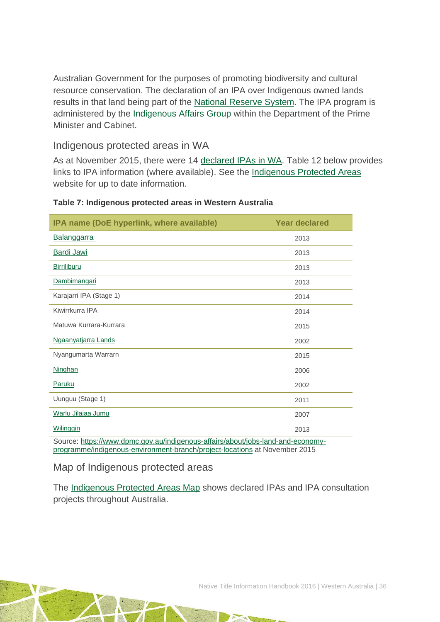Australian Government for the purposes of promoting biodiversity and cultural resource conservation. The declaration of an IPA over Indigenous owned lands results in that land being part of the [National Reserve System.](http://www.environment.gov.au/land/nrs) The IPA program is administered by the [Indigenous Affairs Group](https://www.dpmc.gov.au/indigenous-affairs) within the Department of the Prime Minister and Cabinet.

### Indigenous protected areas in WA

As at November 2015, there were 14 [declared IPAs in WA.](http://www.environment.gov.au/indigenous/ipa/declared/wa.html) Table 12 below provides links to IPA information (where available). See the [Indigenous Protected Areas](http://www.environment.gov.au/indigenous/ipa/) website for up to date information.

| IPA name (DoE hyperlink, where available)                                       | <b>Year declared</b> |  |  |  |  |
|---------------------------------------------------------------------------------|----------------------|--|--|--|--|
| <b>Balanggarra</b>                                                              | 2013                 |  |  |  |  |
| Bardi Jawi                                                                      | 2013                 |  |  |  |  |
| <b>Birriliburu</b>                                                              | 2013                 |  |  |  |  |
| Dambimangari                                                                    | 2013                 |  |  |  |  |
| Karajarri IPA (Stage 1)                                                         | 2014                 |  |  |  |  |
| Kiwirrkurra IPA                                                                 | 2014                 |  |  |  |  |
| Matuwa Kurrara-Kurrara                                                          | 2015                 |  |  |  |  |
| Ngaanyatjarra Lands                                                             | 2002                 |  |  |  |  |
| Nyangumarta Warrarn                                                             | 2015                 |  |  |  |  |
| Ninghan                                                                         | 2006                 |  |  |  |  |
| Paruku                                                                          | 2002                 |  |  |  |  |
| Uunguu (Stage 1)                                                                | 2011                 |  |  |  |  |
| Warlu Jilajaa Jumu                                                              | 2007                 |  |  |  |  |
| Wilinggin                                                                       | 2013                 |  |  |  |  |
| Source: https://www.dpmc.gov.au/indigenous-affairs/about/jobs-land-and-economy- |                      |  |  |  |  |

#### **Table 7: Indigenous protected areas in Western Australia**

[programme/indigenous-environment-branch/project-locations](https://www.dpmc.gov.au/indigenous-affairs/about/jobs-land-and-economy-programme/indigenous-environment-branch/project-locations) at November 2015

Map of Indigenous protected areas

The [Indigenous Protected Areas Map](https://www.dpmc.gov.au/indigenous-affairs/about/jobs-land-and-economy-programme/indigenous-environment-branch/project-locations) shows declared IPAs and IPA consultation projects throughout Australia.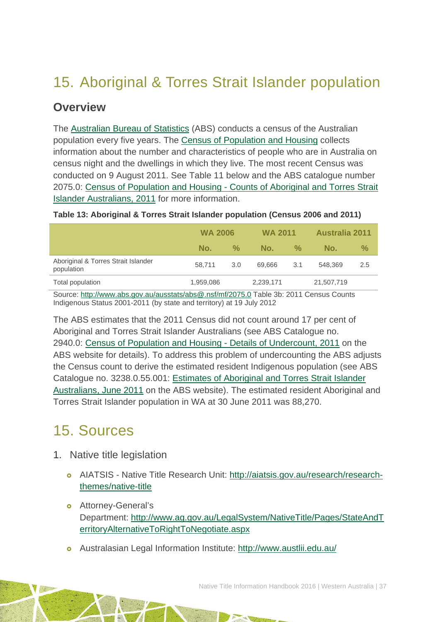# <span id="page-37-0"></span>15. Aboriginal & Torres Strait Islander population

## **Overview**

The [Australian Bureau of Statistics](http://www.abs.gov.au/) (ABS) conducts a census of the Australian population every five years. The [Census of Population and Housing](http://www.abs.gov.au/websitedbs/censushome.nsf/home/what?opendocument&navpos=110) collects information about the number and characteristics of people who are in Australia on census night and the dwellings in which they live. The most recent Census was conducted on 9 August 2011. See Table 11 below and the ABS catalogue number 2075.0: Census of Population and Housing - Counts of Aboriginal and Torres Strait Islander Australians, 2011 for more information.

| Table 13: Aboriginal & Torres Strait Islander population (Census 2006 and 2011) |  |  |  |  |
|---------------------------------------------------------------------------------|--|--|--|--|
|                                                                                 |  |  |  |  |

|                                                   | <b>WA 2006</b> |     | <b>WA 2011</b> |                    | <b>Australia 2011</b> |               |
|---------------------------------------------------|----------------|-----|----------------|--------------------|-----------------------|---------------|
|                                                   | No.            | ℅   | No.            | $\frac{0}{\alpha}$ | No.                   | $\frac{1}{2}$ |
| Aboriginal & Torres Strait Islander<br>population | 58.711         | 3.0 | 69.666         | 3.1                | 548,369               | 2.5           |
| Total population                                  | 1,959,086      |     | 2,239,171      |                    | 21,507,719            |               |

Source:<http://www.abs.gov.au/ausstats/abs@.nsf/mf/2075.0> Table 3b: 2011 Census Counts Indigenous Status 2001-2011 (by state and territory) at 19 July 2012

The ABS estimates that the 2011 Census did not count around 17 per cent of Aboriginal and Torres Strait Islander Australians (see ABS Catalogue no. 2940.0: [Census of Population and Housing -](http://www.abs.gov.au/ausstats/abs@.nsf/%20mf/2940.0) Details of Undercount, 2011 on the ABS website for details). To address this problem of undercounting the ABS adjusts the Census count to derive the estimated resident Indigenous population (see ABS Catalogue no. 3238.0.55.001: [Estimates of Aboriginal and Torres Strait Islander](http://www.abs.gov.au/AUSSTATS/abs@.nsf/Lookup/3238.0.55.001Main+Features1June%202011?OpenDocument)  [Australians, June 2011](http://www.abs.gov.au/AUSSTATS/abs@.nsf/Lookup/3238.0.55.001Main+Features1June%202011?OpenDocument) on the ABS website). The estimated resident Aboriginal and Torres Strait Islander population in WA at 30 June 2011 was 88,270.

# <span id="page-37-1"></span>15. Sources

- 1. Native title legislation
	- AIATSIS Native Title Research Unit: [http://aiatsis.gov.au/research/research](http://aiatsis.gov.au/research/research-themes/native-title)[themes/native-title](http://aiatsis.gov.au/research/research-themes/native-title)
	- **o** Attorney-General's Department: [http://www.ag.gov.au/LegalSystem/NativeTitle/Pages/StateAndT](http://www.ag.gov.au/LegalSystem/NativeTitle/Pages/StateAndTerritoryAlternativeToRightToNegotiate.aspx) [erritoryAlternativeToRightToNegotiate.aspx](http://www.ag.gov.au/LegalSystem/NativeTitle/Pages/StateAndTerritoryAlternativeToRightToNegotiate.aspx)
	- Australasian Legal Information Institute:<http://www.austlii.edu.au/>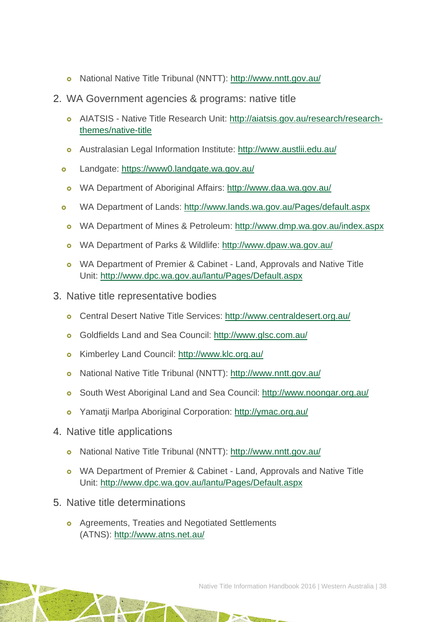- National Native Title Tribunal (NNTT):<http://www.nntt.gov.au/>
- 2. WA Government agencies & programs: native title
	- AIATSIS Native Title Research Unit: [http://aiatsis.gov.au/research/research](http://aiatsis.gov.au/research/research-themes/native-title)[themes/native-title](http://aiatsis.gov.au/research/research-themes/native-title)
	- Australasian Legal Information Institute:<http://www.austlii.edu.au/>
	- o Landgate:<https://www0.landgate.wa.gov.au/>
	- o WA Department of Aboriginal Affairs:<http://www.daa.wa.gov.au/>
	- WA Department of Lands:<http://www.lands.wa.gov.au/Pages/default.aspx>
	- o WA Department of Mines & Petroleum:<http://www.dmp.wa.gov.au/index.aspx>
	- WA Department of Parks & Wildlife:<http://www.dpaw.wa.gov.au/>
	- o WA Department of Premier & Cabinet Land, Approvals and Native Title Unit:<http://www.dpc.wa.gov.au/lantu/Pages/Default.aspx>
- 3. Native title representative bodies
	- Central Desert Native Title Services:<http://www.centraldesert.org.au/>
	- Goldfields Land and Sea Council:<http://www.glsc.com.au/>
	- Kimberley Land Council:<http://www.klc.org.au/>
	- National Native Title Tribunal (NNTT):<http://www.nntt.gov.au/>
	- South West Aboriginal Land and Sea Council:<http://www.noongar.org.au/>
	- Yamatji Marlpa Aboriginal Corporation:<http://ymac.org.au/>
- 4. Native title applications
	- National Native Title Tribunal (NNTT):<http://www.nntt.gov.au/>
	- o WA Department of Premier & Cabinet Land, Approvals and Native Title Unit:<http://www.dpc.wa.gov.au/lantu/Pages/Default.aspx>
- 5. Native title determinations
	- **o** Agreements, Treaties and Negotiated Settlements (ATNS):<http://www.atns.net.au/>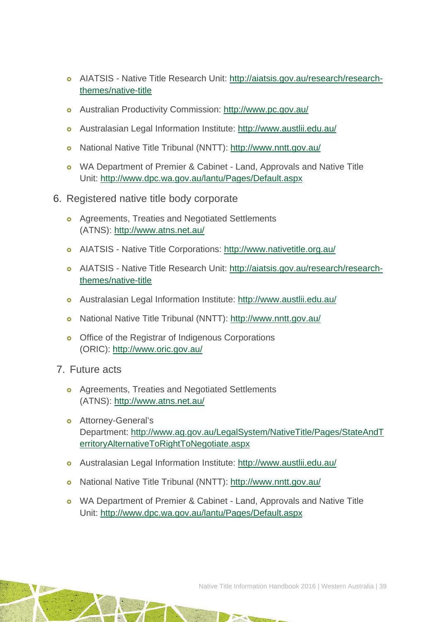- AIATSIS Native Title Research Unit: [http://aiatsis.gov.au/research/research](http://aiatsis.gov.au/research/research-themes/native-title)[themes/native-title](http://aiatsis.gov.au/research/research-themes/native-title)
- Australian Productivity Commission:<http://www.pc.gov.au/>
- Australasian Legal Information Institute:<http://www.austlii.edu.au/>
- National Native Title Tribunal (NNTT):<http://www.nntt.gov.au/>
- o WA Department of Premier & Cabinet Land, Approvals and Native Title Unit:<http://www.dpc.wa.gov.au/lantu/Pages/Default.aspx>
- 6. Registered native title body corporate
	- **o** Agreements, Treaties and Negotiated Settlements (ATNS):<http://www.atns.net.au/>
	- AIATSIS Native Title Corporations:<http://www.nativetitle.org.au/>
	- AIATSIS Native Title Research Unit: [http://aiatsis.gov.au/research/research](http://aiatsis.gov.au/research/research-themes/native-title)[themes/native-title](http://aiatsis.gov.au/research/research-themes/native-title)
	- Australasian Legal Information Institute:<http://www.austlii.edu.au/>
	- National Native Title Tribunal (NNTT):<http://www.nntt.gov.au/>
	- o Office of the Registrar of Indigenous Corporations (ORIC):<http://www.oric.gov.au/>
- 7. Future acts
	- **o** Agreements, Treaties and Negotiated Settlements (ATNS):<http://www.atns.net.au/>
	- **o** Attorney-General's Department: [http://www.ag.gov.au/LegalSystem/NativeTitle/Pages/StateAndT](http://www.ag.gov.au/LegalSystem/NativeTitle/Pages/StateAndTerritoryAlternativeToRightToNegotiate.aspx) [erritoryAlternativeToRightToNegotiate.aspx](http://www.ag.gov.au/LegalSystem/NativeTitle/Pages/StateAndTerritoryAlternativeToRightToNegotiate.aspx)
	- Australasian Legal Information Institute:<http://www.austlii.edu.au/>
	- National Native Title Tribunal (NNTT):<http://www.nntt.gov.au/>
	- WA Department of Premier & Cabinet Land, Approvals and Native Title Unit:<http://www.dpc.wa.gov.au/lantu/Pages/Default.aspx>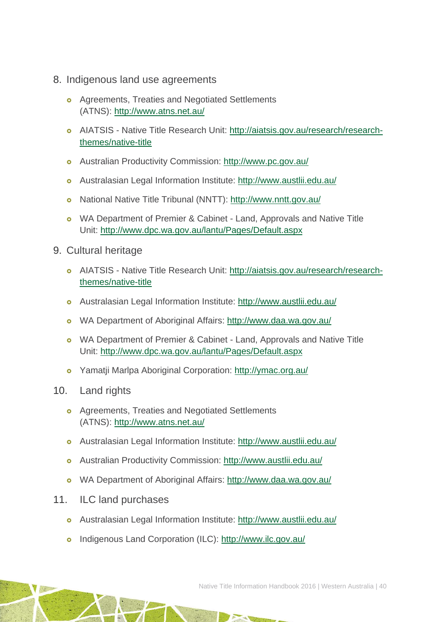- 8. Indigenous land use agreements
	- **o** Agreements, Treaties and Negotiated Settlements (ATNS):<http://www.atns.net.au/>
	- AIATSIS Native Title Research Unit: [http://aiatsis.gov.au/research/research](http://aiatsis.gov.au/research/research-themes/native-title)[themes/native-title](http://aiatsis.gov.au/research/research-themes/native-title)
	- Australian Productivity Commission:<http://www.pc.gov.au/>
	- Australasian Legal Information Institute:<http://www.austlii.edu.au/>
	- National Native Title Tribunal (NNTT):<http://www.nntt.gov.au/>
	- o WA Department of Premier & Cabinet Land, Approvals and Native Title Unit:<http://www.dpc.wa.gov.au/lantu/Pages/Default.aspx>
- 9. Cultural heritage
	- AIATSIS Native Title Research Unit: [http://aiatsis.gov.au/research/research](http://aiatsis.gov.au/research/research-themes/native-title)[themes/native-title](http://aiatsis.gov.au/research/research-themes/native-title)
	- Australasian Legal Information Institute:<http://www.austlii.edu.au/>
	- WA Department of Aboriginal Affairs:<http://www.daa.wa.gov.au/>
	- o WA Department of Premier & Cabinet Land, Approvals and Native Title Unit:<http://www.dpc.wa.gov.au/lantu/Pages/Default.aspx>
	- Yamatji Marlpa Aboriginal Corporation:<http://ymac.org.au/>
- 10. Land rights
	- **o** Agreements, Treaties and Negotiated Settlements (ATNS):<http://www.atns.net.au/>
	- Australasian Legal Information Institute:<http://www.austlii.edu.au/>
	- Australian Productivity Commission:<http://www.austlii.edu.au/>
	- WA Department of Aboriginal Affairs:<http://www.daa.wa.gov.au/>
- 11. ILC land purchases
	- Australasian Legal Information Institute:<http://www.austlii.edu.au/>
	- o Indigenous Land Corporation (ILC):<http://www.ilc.gov.au/>